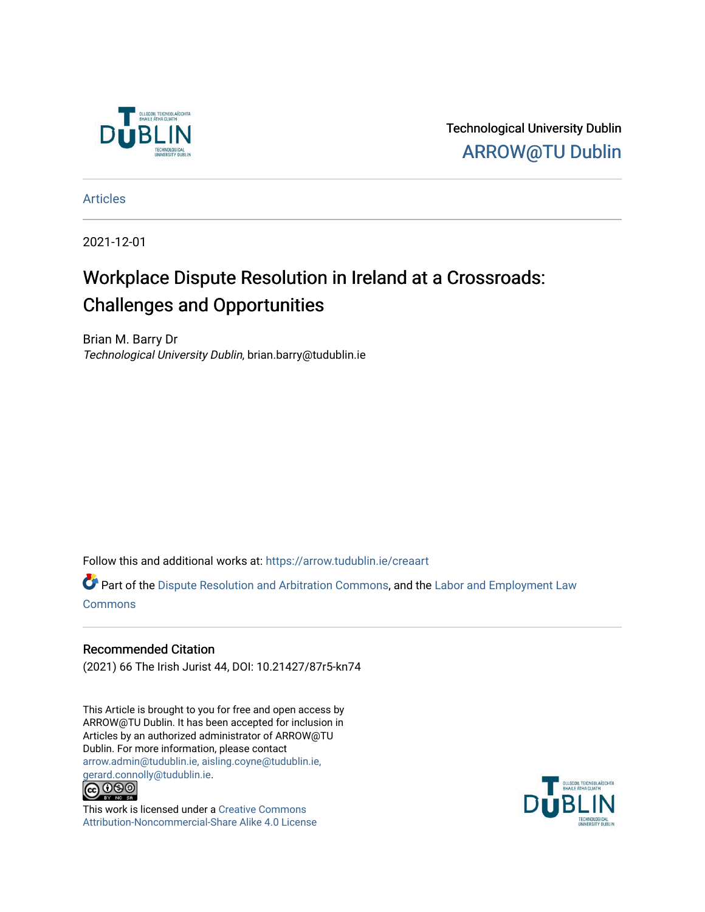

Technological University Dublin [ARROW@TU Dublin](https://arrow.tudublin.ie/) 

[Articles](https://arrow.tudublin.ie/creaart)

2021-12-01

# Workplace Dispute Resolution in Ireland at a Crossroads: Challenges and Opportunities

Brian M. Barry Dr Technological University Dublin, brian.barry@tudublin.ie

Follow this and additional works at: [https://arrow.tudublin.ie/creaart](https://arrow.tudublin.ie/creaart?utm_source=arrow.tudublin.ie%2Fcreaart%2F42&utm_medium=PDF&utm_campaign=PDFCoverPages) 

**P** Part of the [Dispute Resolution and Arbitration Commons,](http://network.bepress.com/hgg/discipline/890?utm_source=arrow.tudublin.ie%2Fcreaart%2F42&utm_medium=PDF&utm_campaign=PDFCoverPages) and the [Labor and Employment Law](http://network.bepress.com/hgg/discipline/909?utm_source=arrow.tudublin.ie%2Fcreaart%2F42&utm_medium=PDF&utm_campaign=PDFCoverPages) **[Commons](http://network.bepress.com/hgg/discipline/909?utm_source=arrow.tudublin.ie%2Fcreaart%2F42&utm_medium=PDF&utm_campaign=PDFCoverPages)** 

# Recommended Citation

(2021) 66 The Irish Jurist 44, DOI: 10.21427/87r5-kn74

This Article is brought to you for free and open access by ARROW@TU Dublin. It has been accepted for inclusion in Articles by an authorized administrator of ARROW@TU Dublin. For more information, please contact [arrow.admin@tudublin.ie, aisling.coyne@tudublin.ie,](mailto:arrow.admin@tudublin.ie,%20aisling.coyne@tudublin.ie,%20gerard.connolly@tudublin.ie)  [gerard.connolly@tudublin.ie](mailto:arrow.admin@tudublin.ie,%20aisling.coyne@tudublin.ie,%20gerard.connolly@tudublin.ie).



This work is licensed under a [Creative Commons](http://creativecommons.org/licenses/by-nc-sa/4.0/) [Attribution-Noncommercial-Share Alike 4.0 License](http://creativecommons.org/licenses/by-nc-sa/4.0/)

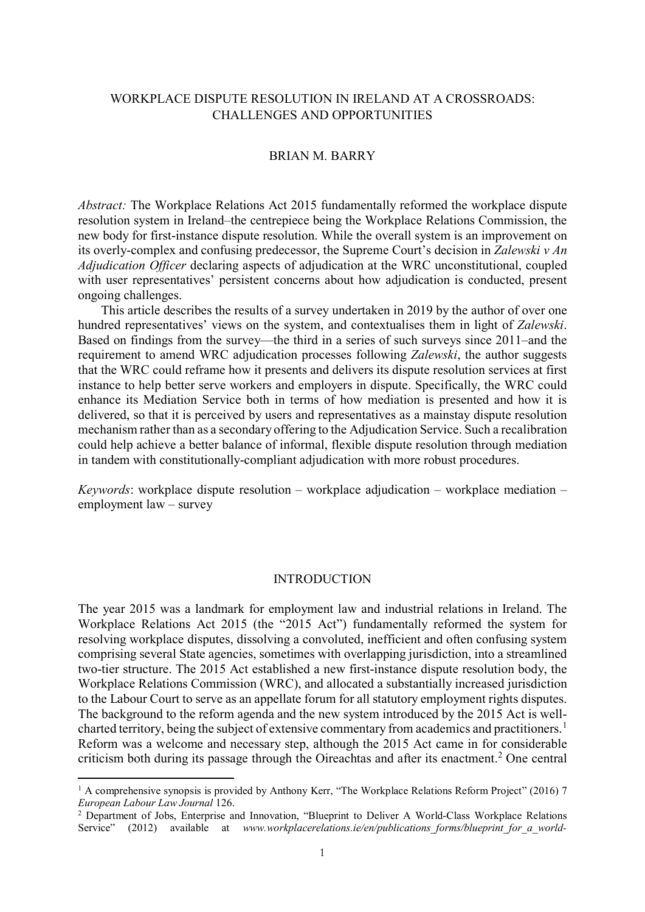# WORKPLACE DISPUTE RESOLUTION IN IRELAND AT A CROSSROADS: CHALLENGES AND OPPORTUNITIES

# BRIAN M. BARRY

*Abstract:* The Workplace Relations Act 2015 fundamentally reformed the workplace dispute resolution system in Ireland–the centrepiece being the Workplace Relations Commission, the new body for first-instance dispute resolution. While the overall system is an improvement on its overly-complex and confusing predecessor, the Supreme Court's decision in *Zalewski v An Adjudication Officer* declaring aspects of adjudication at the WRC unconstitutional, coupled with user representatives' persistent concerns about how adjudication is conducted, present ongoing challenges.

This article describes the results of a survey undertaken in 2019 by the author of over one hundred representatives' views on the system, and contextualises them in light of *Zalewski*. Based on findings from the survey—the third in a series of such surveys since 2011–and the requirement to amend WRC adjudication processes following *Zalewski*, the author suggests that the WRC could reframe how it presents and delivers its dispute resolution services at first instance to help better serve workers and employers in dispute. Specifically, the WRC could enhance its Mediation Service both in terms of how mediation is presented and how it is delivered, so that it is perceived by users and representatives as a mainstay dispute resolution mechanism rather than as a secondary offering to the Adjudication Service. Such a recalibration could help achieve a better balance of informal, flexible dispute resolution through mediation in tandem with constitutionally-compliant adjudication with more robust procedures.

*Keywords*: workplace dispute resolution – workplace adjudication – workplace mediation – employment law – survey

### INTRODUCTION

The year 2015 was a landmark for employment law and industrial relations in Ireland. The Workplace Relations Act 2015 (the "2015 Act") fundamentally reformed the system for resolving workplace disputes, dissolving a convoluted, inefficient and often confusing system comprising several State agencies, sometimes with overlapping jurisdiction, into a streamlined two-tier structure. The 2015 Act established a new first-instance dispute resolution body, the Workplace Relations Commission (WRC), and allocated a substantially increased jurisdiction to the Labour Court to serve as an appellate forum for all statutory employment rights disputes. The background to the reform agenda and the new system introduced by the 2015 Act is well-charted territory, being the subject of extensive commentary from academics and practitioners.<sup>[1](#page-1-0)</sup> Reform was a welcome and necessary step, although the 2015 Act came in for considerable criticism both during its passage through the Oireachtas and after its enactment. [2](#page-1-1) One central

<span id="page-1-0"></span><sup>&</sup>lt;sup>1</sup> A comprehensive synopsis is provided by Anthony Kerr, "The Workplace Relations Reform Project" (2016) 7 *European Labour Law Journal* 126.

<span id="page-1-1"></span><sup>&</sup>lt;sup>2</sup> Department of Jobs, Enterprise and Innovation, "Blueprint to Deliver A World-Class Workplace Relations Service" (2012) available at *www.workplacerelations.ie/en/publications forms/blueprint for a world-*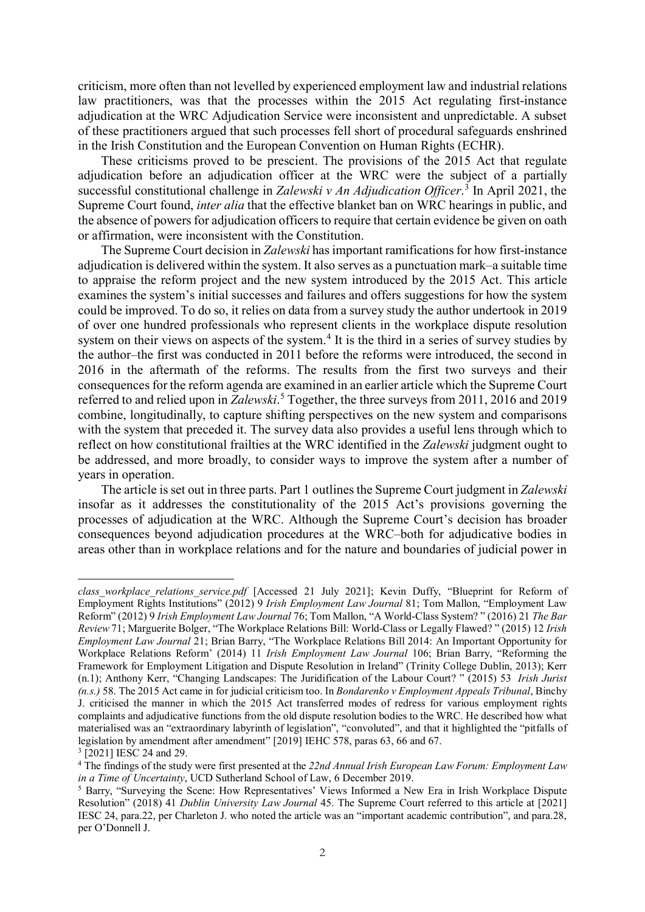criticism, more often than not levelled by experienced employment law and industrial relations law practitioners, was that the processes within the 2015 Act regulating first-instance adjudication at the WRC Adjudication Service were inconsistent and unpredictable. A subset of these practitioners argued that such processes fell short of procedural safeguards enshrined in the Irish Constitution and the European Convention on Human Rights (ECHR).

These criticisms proved to be prescient. The provisions of the 2015 Act that regulate adjudication before an adjudication officer at the WRC were the subject of a partially successful constitutional challenge in *Zalewski v An Adjudication Officer*. [3](#page-2-0) In April 2021, the Supreme Court found, *inter alia* that the effective blanket ban on WRC hearings in public, and the absence of powers for adjudication officers to require that certain evidence be given on oath or affirmation, were inconsistent with the Constitution.

The Supreme Court decision in *Zalewski* has important ramifications for how first-instance adjudication is delivered within the system. It also serves as a punctuation mark–a suitable time to appraise the reform project and the new system introduced by the 2015 Act. This article examines the system's initial successes and failures and offers suggestions for how the system could be improved. To do so, it relies on data from a survey study the author undertook in 2019 of over one hundred professionals who represent clients in the workplace dispute resolution system on their views on aspects of the system.<sup>[4](#page-2-1)</sup> It is the third in a series of survey studies by the author–the first was conducted in 2011 before the reforms were introduced, the second in 2016 in the aftermath of the reforms. The results from the first two surveys and their consequences for the reform agenda are examined in an earlier article which the Supreme Court referred to and relied upon in *Zalewski*. [5](#page-2-2) Together, the three surveys from 2011, 2016 and 2019 combine, longitudinally, to capture shifting perspectives on the new system and comparisons with the system that preceded it. The survey data also provides a useful lens through which to reflect on how constitutional frailties at the WRC identified in the *Zalewski* judgment ought to be addressed, and more broadly, to consider ways to improve the system after a number of years in operation.

The article is set out in three parts. Part 1 outlines the Supreme Court judgment in *Zalewski*  insofar as it addresses the constitutionality of the 2015 Act's provisions governing the processes of adjudication at the WRC. Although the Supreme Court's decision has broader consequences beyond adjudication procedures at the WRC–both for adjudicative bodies in areas other than in workplace relations and for the nature and boundaries of judicial power in

*class\_workplace\_relations\_service.pdf* [Accessed 21 July 2021]; Kevin Duffy, "Blueprint for Reform of Employment Rights Institutions" (2012) 9 *Irish Employment Law Journal* 81; Tom Mallon, "Employment Law Reform" (2012) 9 *Irish Employment Law Journal* 76; Tom Mallon, "A World-Class System? " (2016) 21 *The Bar Review* 71; Marguerite Bolger, "The Workplace Relations Bill: World-Class or Legally Flawed? " (2015) 12 *Irish Employment Law Journal* 21; Brian Barry, "The Workplace Relations Bill 2014: An Important Opportunity for Workplace Relations Reform' (2014) 11 *Irish Employment Law Journal* 106; Brian Barry, "Reforming the Framework for Employment Litigation and Dispute Resolution in Ireland" (Trinity College Dublin, 2013); Kerr (n.1); Anthony Kerr, "Changing Landscapes: The Juridification of the Labour Court? " (2015) 53 *Irish Jurist (n.s.)* 58. The 2015 Act came in for judicial criticism too. In *Bondarenko v Employment Appeals Tribunal*, Binchy J. criticised the manner in which the 2015 Act transferred modes of redress for various employment rights complaints and adjudicative functions from the old dispute resolution bodies to the WRC. He described how what materialised was an "extraordinary labyrinth of legislation", "convoluted", and that it highlighted the "pitfalls of legislation by amendment after amendment" [2019] IEHC 578, paras 63, 66 and 67.

<sup>&</sup>lt;sup>3</sup> [2021] IESC 24 and 29.

<span id="page-2-1"></span><span id="page-2-0"></span><sup>4</sup> The findings of the study were first presented at the *22nd Annual Irish European Law Forum: Employment Law in a Time of Uncertainty*, UCD Sutherland School of Law, 6 December 2019.

<span id="page-2-2"></span><sup>5</sup> Barry, "Surveying the Scene: How Representatives' Views Informed a New Era in Irish Workplace Dispute Resolution" (2018) 41 *Dublin University Law Journal* 45. The Supreme Court referred to this article at [2021] IESC 24, para.22, per Charleton J. who noted the article was an "important academic contribution", and para.28, per O'Donnell J.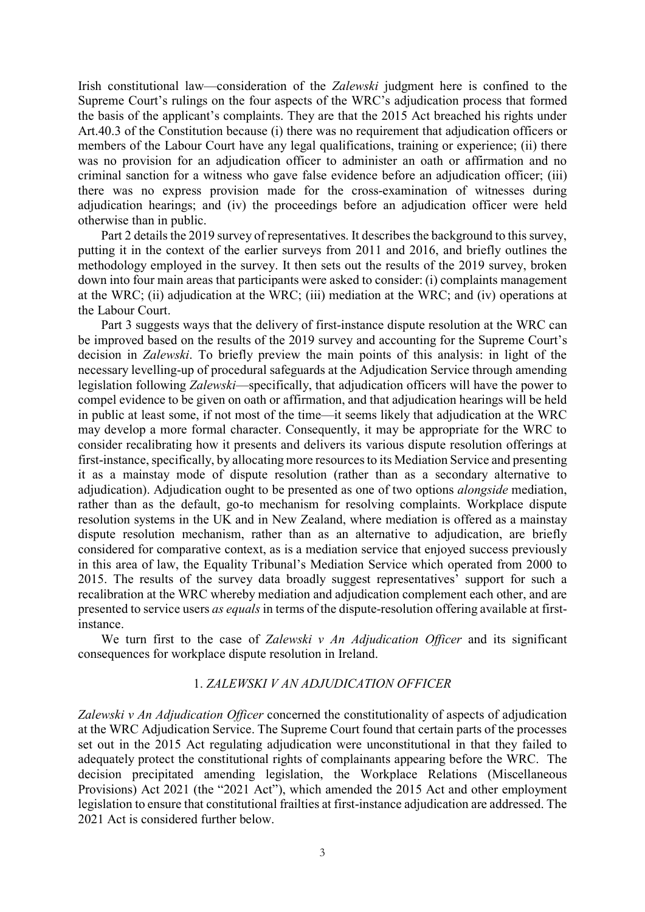Irish constitutional law—consideration of the *Zalewski* judgment here is confined to the Supreme Court's rulings on the four aspects of the WRC's adjudication process that formed the basis of the applicant's complaints. They are that the 2015 Act breached his rights under Art.40.3 of the Constitution because (i) there was no requirement that adjudication officers or members of the Labour Court have any legal qualifications, training or experience; (ii) there was no provision for an adjudication officer to administer an oath or affirmation and no criminal sanction for a witness who gave false evidence before an adjudication officer; (iii) there was no express provision made for the cross-examination of witnesses during adjudication hearings; and (iv) the proceedings before an adjudication officer were held otherwise than in public.

Part 2 details the 2019 survey of representatives. It describes the background to this survey, putting it in the context of the earlier surveys from 2011 and 2016, and briefly outlines the methodology employed in the survey. It then sets out the results of the 2019 survey, broken down into four main areas that participants were asked to consider: (i) complaints management at the WRC; (ii) adjudication at the WRC; (iii) mediation at the WRC; and (iv) operations at the Labour Court.

Part 3 suggests ways that the delivery of first-instance dispute resolution at the WRC can be improved based on the results of the 2019 survey and accounting for the Supreme Court's decision in *Zalewski*. To briefly preview the main points of this analysis: in light of the necessary levelling-up of procedural safeguards at the Adjudication Service through amending legislation following *Zalewski*—specifically, that adjudication officers will have the power to compel evidence to be given on oath or affirmation, and that adjudication hearings will be held in public at least some, if not most of the time—it seems likely that adjudication at the WRC may develop a more formal character. Consequently, it may be appropriate for the WRC to consider recalibrating how it presents and delivers its various dispute resolution offerings at first-instance, specifically, by allocating more resources to its Mediation Service and presenting it as a mainstay mode of dispute resolution (rather than as a secondary alternative to adjudication). Adjudication ought to be presented as one of two options *alongside* mediation, rather than as the default, go-to mechanism for resolving complaints. Workplace dispute resolution systems in the UK and in New Zealand, where mediation is offered as a mainstay dispute resolution mechanism, rather than as an alternative to adjudication, are briefly considered for comparative context, as is a mediation service that enjoyed success previously in this area of law, the Equality Tribunal's Mediation Service which operated from 2000 to 2015. The results of the survey data broadly suggest representatives' support for such a recalibration at the WRC whereby mediation and adjudication complement each other, and are presented to service users *as equals* in terms of the dispute-resolution offering available at firstinstance.

We turn first to the case of *Zalewski v An Adjudication Officer* and its significant consequences for workplace dispute resolution in Ireland.

# 1. *ZALEWSKI V AN ADJUDICATION OFFICER*

*Zalewski v An Adjudication Officer* concerned the constitutionality of aspects of adjudication at the WRC Adjudication Service. The Supreme Court found that certain parts of the processes set out in the 2015 Act regulating adjudication were unconstitutional in that they failed to adequately protect the constitutional rights of complainants appearing before the WRC. The decision precipitated amending legislation, the Workplace Relations (Miscellaneous Provisions) Act 2021 (the "2021 Act"), which amended the 2015 Act and other employment legislation to ensure that constitutional frailties at first-instance adjudication are addressed. The 2021 Act is considered further below.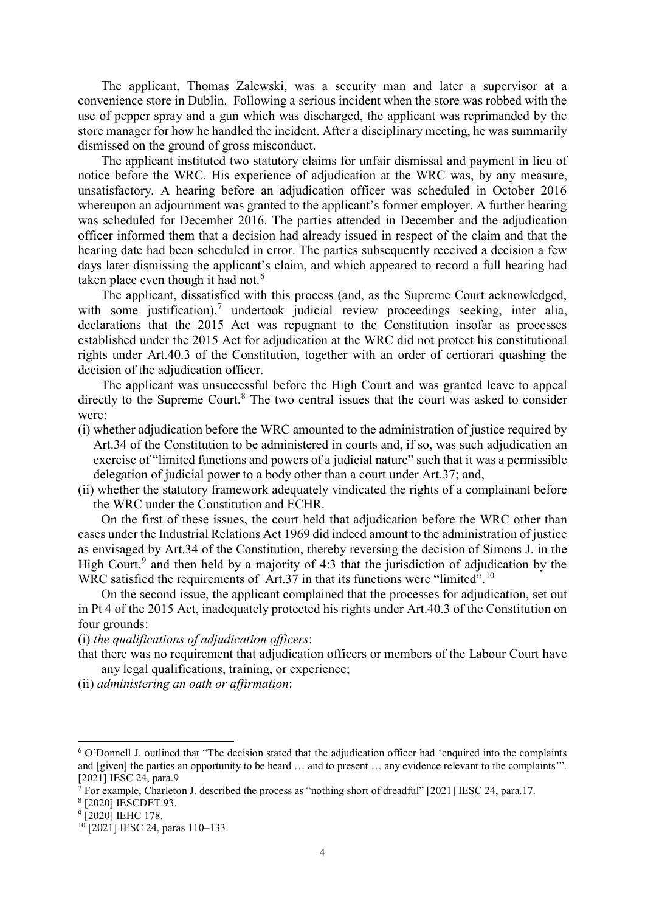The applicant, Thomas Zalewski, was a security man and later a supervisor at a convenience store in Dublin. Following a serious incident when the store was robbed with the use of pepper spray and a gun which was discharged, the applicant was reprimanded by the store manager for how he handled the incident. After a disciplinary meeting, he was summarily dismissed on the ground of gross misconduct.

The applicant instituted two statutory claims for unfair dismissal and payment in lieu of notice before the WRC. His experience of adjudication at the WRC was, by any measure, unsatisfactory. A hearing before an adjudication officer was scheduled in October 2016 whereupon an adjournment was granted to the applicant's former employer. A further hearing was scheduled for December 2016. The parties attended in December and the adjudication officer informed them that a decision had already issued in respect of the claim and that the hearing date had been scheduled in error. The parties subsequently received a decision a few days later dismissing the applicant's claim, and which appeared to record a full hearing had taken place even though it had not.<sup>[6](#page-4-0)</sup>

The applicant, dissatisfied with this process (and, as the Supreme Court acknowledged, with some justification), $7$  undertook judicial review proceedings seeking, inter alia, declarations that the 2015 Act was repugnant to the Constitution insofar as processes established under the 2015 Act for adjudication at the WRC did not protect his constitutional rights under Art.40.3 of the Constitution, together with an order of certiorari quashing the decision of the adjudication officer.

The applicant was unsuccessful before the High Court and was granted leave to appeal directly to the Supreme Court. $8$  The two central issues that the court was asked to consider were:

- (i) whether adjudication before the WRC amounted to the administration of justice required by Art.34 of the Constitution to be administered in courts and, if so, was such adjudication an exercise of "limited functions and powers of a judicial nature" such that it was a permissible delegation of judicial power to a body other than a court under Art.37; and,
- (ii) whether the statutory framework adequately vindicated the rights of a complainant before the WRC under the Constitution and ECHR.

On the first of these issues, the court held that adjudication before the WRC other than cases under the Industrial Relations Act 1969 did indeed amount to the administration of justice as envisaged by Art.34 of the Constitution, thereby reversing the decision of Simons J. in the High Court,  $9$  and then held by a majority of 4:3 that the jurisdiction of adjudication by the WRC satisfied the requirements of Art.37 in that its functions were "limited".<sup>[10](#page-4-4)</sup>

On the second issue, the applicant complained that the processes for adjudication, set out in Pt 4 of the 2015 Act, inadequately protected his rights under Art.40.3 of the Constitution on four grounds:

(i) *the qualifications of adjudication officers*:

(ii) *administering an oath or affirmation*:

that there was no requirement that adjudication officers or members of the Labour Court have any legal qualifications, training, or experience;

<span id="page-4-0"></span><sup>6</sup> O'Donnell J. outlined that "The decision stated that the adjudication officer had 'enquired into the complaints and [given] the parties an opportunity to be heard … and to present … any evidence relevant to the complaints'". [2021] IESC 24, para.9

<span id="page-4-1"></span><sup>7</sup> For example, Charleton J. described the process as "nothing short of dreadful" [2021] IESC 24, para.17.

<span id="page-4-2"></span><sup>8</sup> [2020] IESCDET 93.

<span id="page-4-3"></span><sup>&</sup>lt;sup>9</sup> [2020] IEHC 178.

<span id="page-4-4"></span> $10$  [2021] IESC 24, paras 110–133.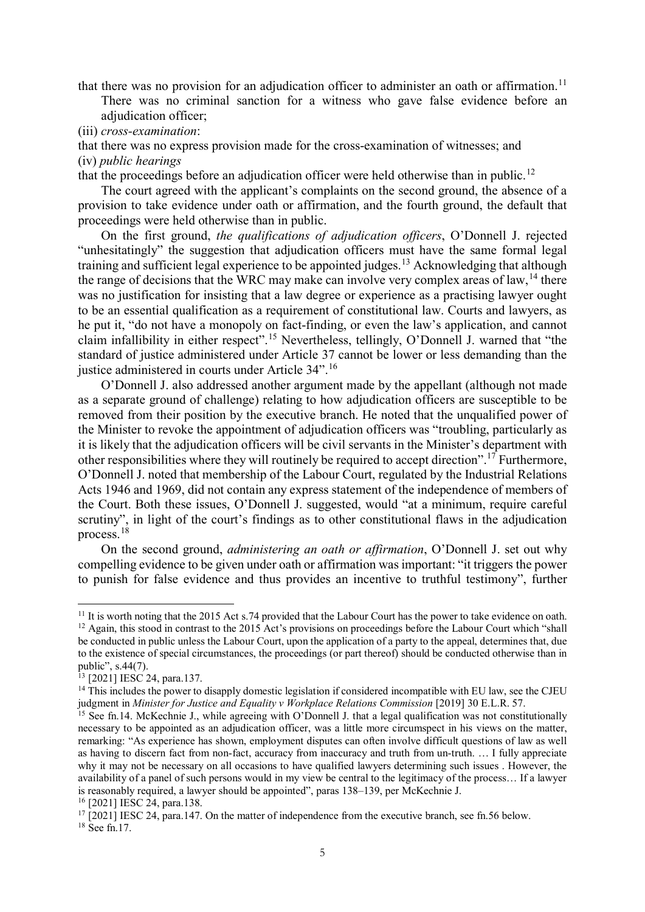that there was no provision for an adjudication officer to administer an oath or affirmation.<sup>[11](#page-5-0)</sup>

There was no criminal sanction for a witness who gave false evidence before an adjudication officer;

(iii) *cross-examination*:

that there was no express provision made for the cross-examination of witnesses; and

# (iv) *public hearings*

that the proceedings before an adjudication officer were held otherwise than in public.[12](#page-5-1)

The court agreed with the applicant's complaints on the second ground, the absence of a provision to take evidence under oath or affirmation, and the fourth ground, the default that proceedings were held otherwise than in public.

On the first ground, *the qualifications of adjudication officers*, O'Donnell J. rejected "unhesitatingly" the suggestion that adjudication officers must have the same formal legal training and sufficient legal experience to be appointed judges.<sup>[13](#page-5-2)</sup> Acknowledging that although the range of decisions that the WRC may make can involve very complex areas of law,  $^{14}$  $^{14}$  $^{14}$  there was no justification for insisting that a law degree or experience as a practising lawyer ought to be an essential qualification as a requirement of constitutional law. Courts and lawyers, as he put it, "do not have a monopoly on fact-finding, or even the law's application, and cannot claim infallibility in either respect".<sup>[15](#page-5-4)</sup> Nevertheless, tellingly, O'Donnell J. warned that "the standard of justice administered under Article 37 cannot be lower or less demanding than the justice administered in courts under Article 34".<sup>[16](#page-5-5)</sup>

O'Donnell J. also addressed another argument made by the appellant (although not made as a separate ground of challenge) relating to how adjudication officers are susceptible to be removed from their position by the executive branch. He noted that the unqualified power of the Minister to revoke the appointment of adjudication officers was "troubling, particularly as it is likely that the adjudication officers will be civil servants in the Minister's department with other responsibilities where they will routinely be required to accept direction".<sup>[17](#page-5-6)</sup> Furthermore, O'Donnell J. noted that membership of the Labour Court, regulated by the Industrial Relations Acts 1946 and 1969, did not contain any express statement of the independence of members of the Court. Both these issues, O'Donnell J. suggested, would "at a minimum, require careful scrutiny", in light of the court's findings as to other constitutional flaws in the adjudication process.[18](#page-5-7)

On the second ground, *administering an oath or affirmation*, O'Donnell J. set out why compelling evidence to be given under oath or affirmation was important: "it triggers the power to punish for false evidence and thus provides an incentive to truthful testimony", further

<span id="page-5-1"></span><span id="page-5-0"></span><sup>&</sup>lt;sup>11</sup> It is worth noting that the 2015 Act s.74 provided that the Labour Court has the power to take evidence on oath.<br><sup>12</sup> Again, this stood in contrast to the 2015 Act's provisions on proceedings before the Labour Court be conducted in public unless the Labour Court, upon the application of a party to the appeal, determines that, due to the existence of special circumstances, the proceedings (or part thereof) should be conducted otherwise than in public", s.44(7).

<span id="page-5-2"></span><sup>13</sup> [2021] IESC 24, para.137.

<span id="page-5-3"></span><sup>&</sup>lt;sup>14</sup> This includes the power to disapply domestic legislation if considered incompatible with EU law, see the CJEU judgment in *Minister for Justice and Equality v Workplace Relations Commission* [2019] 30 E.L.R. 57.

<span id="page-5-4"></span><sup>&</sup>lt;sup>15</sup> See fn.14. McKechnie J., while agreeing with O'Donnell J. that a legal qualification was not constitutionally necessary to be appointed as an adjudication officer, was a little more circumspect in his views on the matter, remarking: "As experience has shown, employment disputes can often involve difficult questions of law as well as having to discern fact from non-fact, accuracy from inaccuracy and truth from un-truth. … I fully appreciate why it may not be necessary on all occasions to have qualified lawyers determining such issues . However, the availability of a panel of such persons would in my view be central to the legitimacy of the process… If a lawyer is reasonably required, a lawyer should be appointed", paras 138–139, per McKechnie J.

<span id="page-5-5"></span><sup>16</sup> [2021] IESC 24, para.138.

<span id="page-5-7"></span><span id="page-5-6"></span> $17$  [2021] IESC 24, para.147. On the matter of independence from the executive branch, see fn.56 below. <sup>18</sup> See fn.17.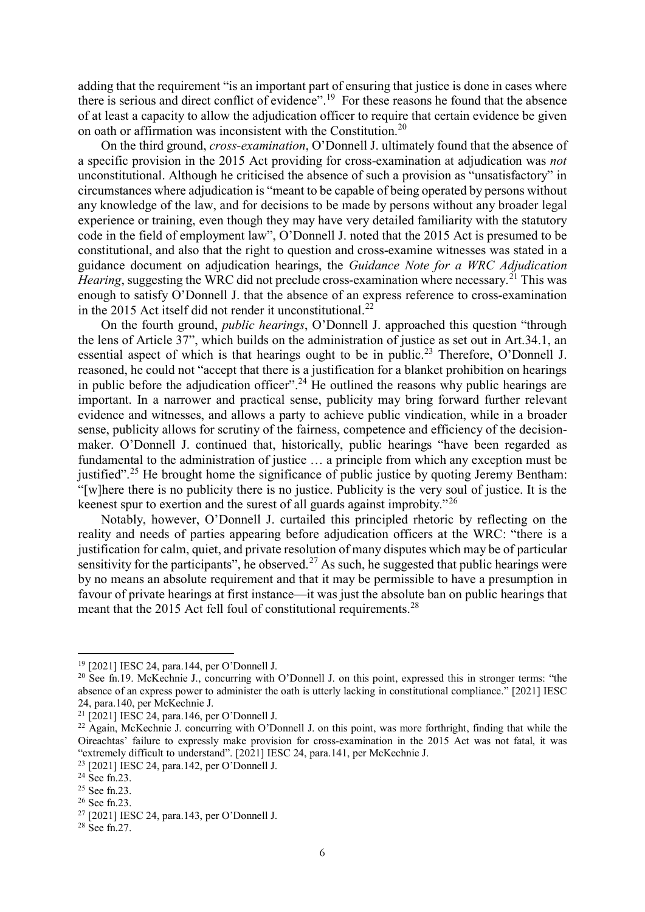adding that the requirement "is an important part of ensuring that justice is done in cases where there is serious and direct conflict of evidence".<sup>[19](#page-6-0)</sup> For these reasons he found that the absence of at least a capacity to allow the adjudication officer to require that certain evidence be given on oath or affirmation was inconsistent with the Constitution.[20](#page-6-1)

On the third ground, *cross-examination*, O'Donnell J. ultimately found that the absence of a specific provision in the 2015 Act providing for cross-examination at adjudication was *not* unconstitutional. Although he criticised the absence of such a provision as "unsatisfactory" in circumstances where adjudication is "meant to be capable of being operated by persons without any knowledge of the law, and for decisions to be made by persons without any broader legal experience or training, even though they may have very detailed familiarity with the statutory code in the field of employment law", O'Donnell J. noted that the 2015 Act is presumed to be constitutional, and also that the right to question and cross-examine witnesses was stated in a guidance document on adjudication hearings, the *Guidance Note for a WRC Adjudication Hearing*, suggesting the WRC did not preclude cross-examination where necessary.<sup>[21](#page-6-2)</sup> This was enough to satisfy O'Donnell J. that the absence of an express reference to cross-examination in the 2015 Act itself did not render it unconstitutional.<sup>[22](#page-6-3)</sup>

On the fourth ground, *public hearings*, O'Donnell J. approached this question "through the lens of Article 37", which builds on the administration of justice as set out in Art.34.1, an essential aspect of which is that hearings ought to be in public.<sup>[23](#page-6-4)</sup> Therefore, O'Donnell J. reasoned, he could not "accept that there is a justification for a blanket prohibition on hearings in public before the adjudication officer".<sup>[24](#page-6-5)</sup> He outlined the reasons why public hearings are important. In a narrower and practical sense, publicity may bring forward further relevant evidence and witnesses, and allows a party to achieve public vindication, while in a broader sense, publicity allows for scrutiny of the fairness, competence and efficiency of the decisionmaker. O'Donnell J. continued that, historically, public hearings "have been regarded as fundamental to the administration of justice … a principle from which any exception must be justified".<sup>[25](#page-6-6)</sup> He brought home the significance of public justice by quoting Jeremy Bentham: "[w]here there is no publicity there is no justice. Publicity is the very soul of justice. It is the keenest spur to exertion and the surest of all guards against improbity."[26](#page-6-7)

Notably, however, O'Donnell J. curtailed this principled rhetoric by reflecting on the reality and needs of parties appearing before adjudication officers at the WRC: "there is a justification for calm, quiet, and private resolution of many disputes which may be of particular sensitivity for the participants", he observed.<sup>[27](#page-6-8)</sup> As such, he suggested that public hearings were by no means an absolute requirement and that it may be permissible to have a presumption in favour of private hearings at first instance—it was just the absolute ban on public hearings that meant that the 2015 Act fell foul of constitutional requirements.<sup>[28](#page-6-9)</sup>

<span id="page-6-0"></span><sup>19</sup> [2021] IESC 24, para.144, per O'Donnell J.

<span id="page-6-1"></span><sup>&</sup>lt;sup>20</sup> See fn.19. McKechnie J., concurring with O'Donnell J. on this point, expressed this in stronger terms: "the absence of an express power to administer the oath is utterly lacking in constitutional compliance." [2021] IESC 24, para.140, per McKechnie J.

<span id="page-6-2"></span><sup>21</sup> [2021] IESC 24, para.146, per O'Donnell J.

<span id="page-6-3"></span><sup>&</sup>lt;sup>22</sup> Again, McKechnie J. concurring with O'Donnell J. on this point, was more forthright, finding that while the Oireachtas' failure to expressly make provision for cross-examination in the 2015 Act was not fatal, it was "extremely difficult to understand". [2021] IESC 24, para.141, per McKechnie J.

<span id="page-6-4"></span><sup>&</sup>lt;sup>23</sup> [2021] IESC 24, para.142, per O'Donnell J.<br><sup>24</sup> See fn.23.

<span id="page-6-6"></span><span id="page-6-5"></span> $25$  See fn.23.

<span id="page-6-7"></span><sup>26</sup> See fn.23.

<span id="page-6-8"></span><sup>27</sup> [2021] IESC 24, para.143, per O'Donnell J.

<span id="page-6-9"></span> $28$  See fn. 27.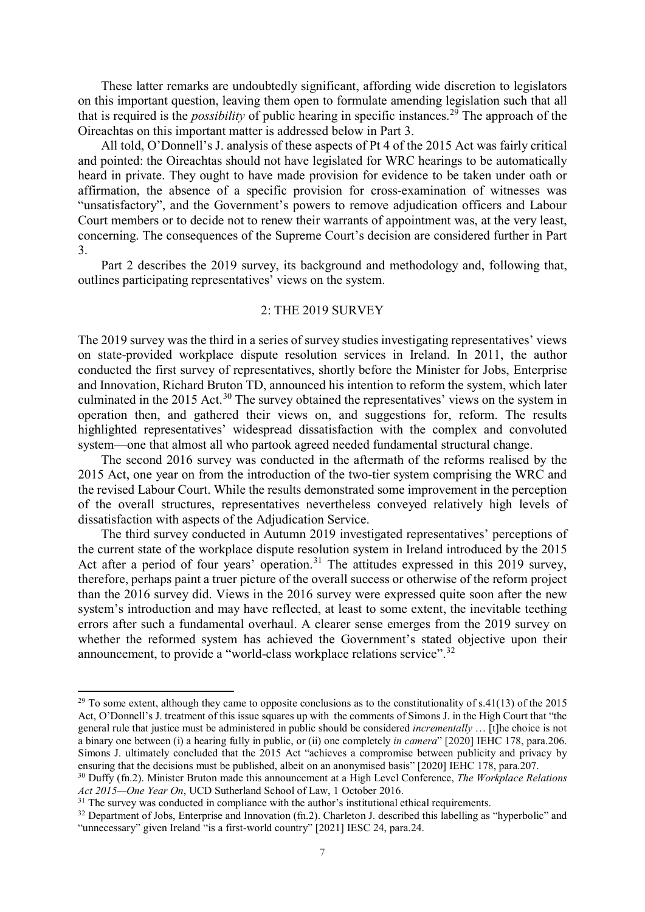These latter remarks are undoubtedly significant, affording wide discretion to legislators on this important question, leaving them open to formulate amending legislation such that all that is required is the *possibility* of public hearing in specific instances.[29](#page-7-0) The approach of the Oireachtas on this important matter is addressed below in Part 3.

All told, O'Donnell's J. analysis of these aspects of Pt 4 of the 2015 Act was fairly critical and pointed: the Oireachtas should not have legislated for WRC hearings to be automatically heard in private. They ought to have made provision for evidence to be taken under oath or affirmation, the absence of a specific provision for cross-examination of witnesses was "unsatisfactory", and the Government's powers to remove adjudication officers and Labour Court members or to decide not to renew their warrants of appointment was, at the very least, concerning. The consequences of the Supreme Court's decision are considered further in Part 3.

Part 2 describes the 2019 survey, its background and methodology and, following that, outlines participating representatives' views on the system.

#### 2: THE 2019 SURVEY

The 2019 survey was the third in a series of survey studies investigating representatives' views on state-provided workplace dispute resolution services in Ireland. In 2011, the author conducted the first survey of representatives, shortly before the Minister for Jobs, Enterprise and Innovation, Richard Bruton TD, announced his intention to reform the system, which later culminated in the 2015 Act.<sup>[30](#page-7-1)</sup> The survey obtained the representatives' views on the system in operation then, and gathered their views on, and suggestions for, reform. The results highlighted representatives' widespread dissatisfaction with the complex and convoluted system—one that almost all who partook agreed needed fundamental structural change.

The second 2016 survey was conducted in the aftermath of the reforms realised by the 2015 Act, one year on from the introduction of the two-tier system comprising the WRC and the revised Labour Court. While the results demonstrated some improvement in the perception of the overall structures, representatives nevertheless conveyed relatively high levels of dissatisfaction with aspects of the Adjudication Service.

The third survey conducted in Autumn 2019 investigated representatives' perceptions of the current state of the workplace dispute resolution system in Ireland introduced by the 2015 Act after a period of four years' operation.<sup>[31](#page-7-2)</sup> The attitudes expressed in this 2019 survey, therefore, perhaps paint a truer picture of the overall success or otherwise of the reform project than the 2016 survey did. Views in the 2016 survey were expressed quite soon after the new system's introduction and may have reflected, at least to some extent, the inevitable teething errors after such a fundamental overhaul. A clearer sense emerges from the 2019 survey on whether the reformed system has achieved the Government's stated objective upon their announcement, to provide a "world-class workplace relations service".<sup>[32](#page-7-3)</sup>

<span id="page-7-0"></span> $29$  To some extent, although they came to opposite conclusions as to the constitutionality of s.41(13) of the 2015 Act, O'Donnell's J. treatment of this issue squares up with the comments of Simons J. in the High Court that "the general rule that justice must be administered in public should be considered *incrementally* … [t]he choice is not a binary one between (i) a hearing fully in public, or (ii) one completely *in camera*" [2020] IEHC 178, para.206. Simons J. ultimately concluded that the 2015 Act "achieves a compromise between publicity and privacy by ensuring that the decisions must be published, albeit on an anonymised basis" [2020] IEHC 178, para.207.

<span id="page-7-1"></span><sup>30</sup> Duffy (fn.2). Minister Bruton made this announcement at a High Level Conference, *The Workplace Relations Act 2015—One Year On*, UCD Sutherland School of Law, 1 October 2016.

<span id="page-7-2"></span> $31$  The survey was conducted in compliance with the author's institutional ethical requirements.

<span id="page-7-3"></span> $32$  Department of Jobs, Enterprise and Innovation (fn.2). Charleton J. described this labelling as "hyperbolic" and "unnecessary" given Ireland "is a first-world country" [2021] IESC 24, para.24.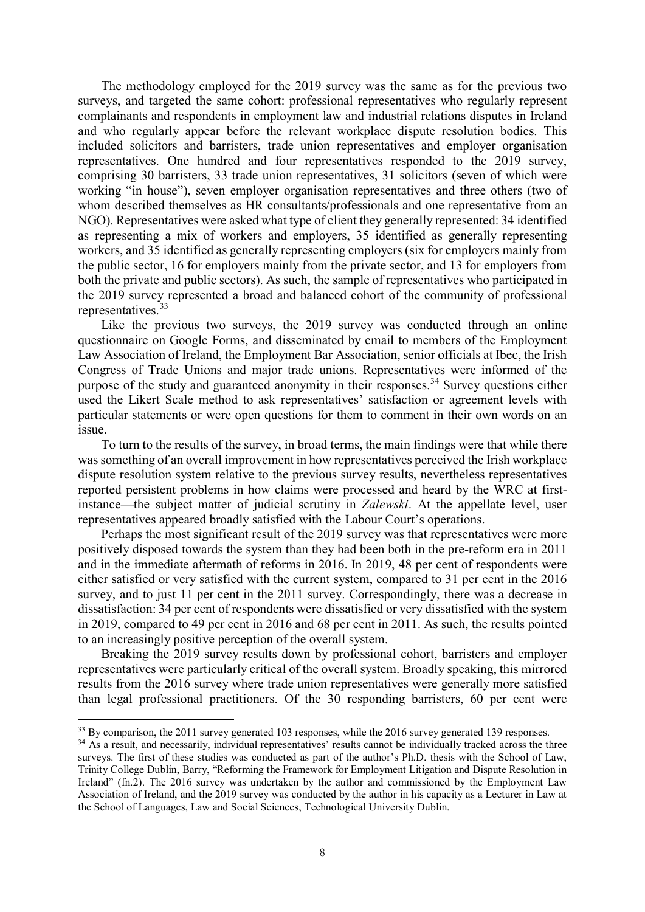The methodology employed for the 2019 survey was the same as for the previous two surveys, and targeted the same cohort: professional representatives who regularly represent complainants and respondents in employment law and industrial relations disputes in Ireland and who regularly appear before the relevant workplace dispute resolution bodies. This included solicitors and barristers, trade union representatives and employer organisation representatives. One hundred and four representatives responded to the 2019 survey, comprising 30 barristers, 33 trade union representatives, 31 solicitors (seven of which were working "in house"), seven employer organisation representatives and three others (two of whom described themselves as HR consultants/professionals and one representative from an NGO). Representatives were asked what type of client they generally represented: 34 identified as representing a mix of workers and employers, 35 identified as generally representing workers, and 35 identified as generally representing employers (six for employers mainly from the public sector, 16 for employers mainly from the private sector, and 13 for employers from both the private and public sectors). As such, the sample of representatives who participated in the 2019 survey represented a broad and balanced cohort of the community of professional representatives. [33](#page-8-0)

Like the previous two surveys, the 2019 survey was conducted through an online questionnaire on Google Forms, and disseminated by email to members of the Employment Law Association of Ireland, the Employment Bar Association, senior officials at Ibec, the Irish Congress of Trade Unions and major trade unions. Representatives were informed of the purpose of the study and guaranteed anonymity in their responses.<sup>[34](#page-8-1)</sup> Survey questions either used the Likert Scale method to ask representatives' satisfaction or agreement levels with particular statements or were open questions for them to comment in their own words on an issue.

To turn to the results of the survey, in broad terms, the main findings were that while there wassomething of an overall improvement in how representatives perceived the Irish workplace dispute resolution system relative to the previous survey results, nevertheless representatives reported persistent problems in how claims were processed and heard by the WRC at firstinstance—the subject matter of judicial scrutiny in *Zalewski*. At the appellate level, user representatives appeared broadly satisfied with the Labour Court's operations.

Perhaps the most significant result of the 2019 survey was that representatives were more positively disposed towards the system than they had been both in the pre-reform era in 2011 and in the immediate aftermath of reforms in 2016. In 2019, 48 per cent of respondents were either satisfied or very satisfied with the current system, compared to 31 per cent in the 2016 survey, and to just 11 per cent in the 2011 survey. Correspondingly, there was a decrease in dissatisfaction: 34 per cent of respondents were dissatisfied or very dissatisfied with the system in 2019, compared to 49 per cent in 2016 and 68 per cent in 2011. As such, the results pointed to an increasingly positive perception of the overall system.

Breaking the 2019 survey results down by professional cohort, barristers and employer representatives were particularly critical of the overall system. Broadly speaking, this mirrored results from the 2016 survey where trade union representatives were generally more satisfied than legal professional practitioners. Of the 30 responding barristers, 60 per cent were

<span id="page-8-0"></span><sup>&</sup>lt;sup>33</sup> By comparison, the 2011 survey generated 103 responses, while the 2016 survey generated 139 responses.

<span id="page-8-1"></span><sup>&</sup>lt;sup>34</sup> As a result, and necessarily, individual representatives' results cannot be individually tracked across the three surveys. The first of these studies was conducted as part of the author's Ph.D. thesis with the School of Law, Trinity College Dublin, Barry, "Reforming the Framework for Employment Litigation and Dispute Resolution in Ireland" (fn.2). The 2016 survey was undertaken by the author and commissioned by the Employment Law Association of Ireland, and the 2019 survey was conducted by the author in his capacity as a Lecturer in Law at the School of Languages, Law and Social Sciences, Technological University Dublin.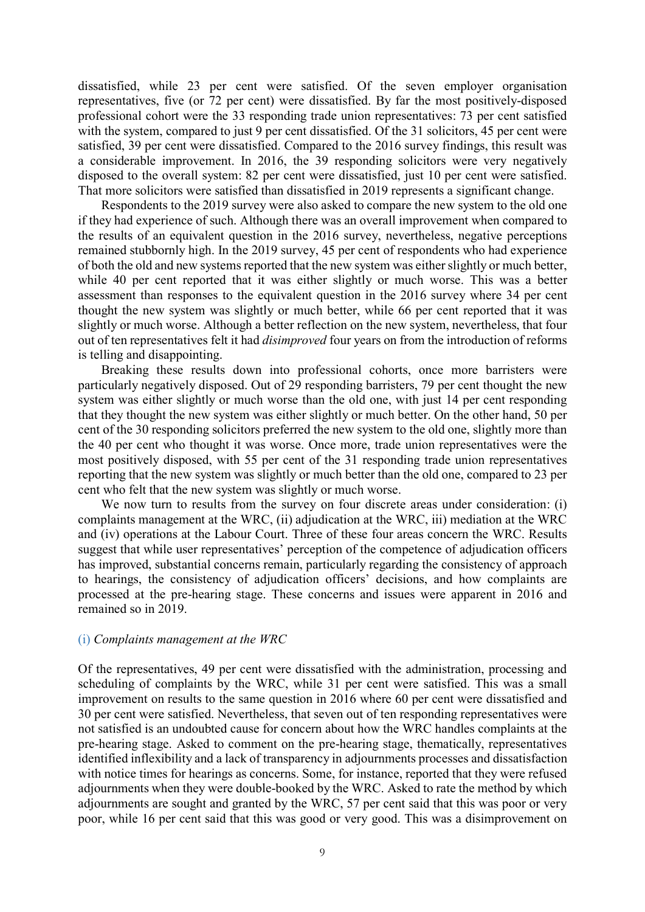dissatisfied, while 23 per cent were satisfied. Of the seven employer organisation representatives, five (or 72 per cent) were dissatisfied. By far the most positively-disposed professional cohort were the 33 responding trade union representatives: 73 per cent satisfied with the system, compared to just 9 per cent dissatisfied. Of the 31 solicitors, 45 per cent were satisfied, 39 per cent were dissatisfied. Compared to the 2016 survey findings, this result was a considerable improvement. In 2016, the 39 responding solicitors were very negatively disposed to the overall system: 82 per cent were dissatisfied, just 10 per cent were satisfied. That more solicitors were satisfied than dissatisfied in 2019 represents a significant change.

Respondents to the 2019 survey were also asked to compare the new system to the old one if they had experience of such. Although there was an overall improvement when compared to the results of an equivalent question in the 2016 survey, nevertheless, negative perceptions remained stubbornly high. In the 2019 survey, 45 per cent of respondents who had experience of both the old and new systems reported that the new system was either slightly or much better, while 40 per cent reported that it was either slightly or much worse. This was a better assessment than responses to the equivalent question in the 2016 survey where 34 per cent thought the new system was slightly or much better, while 66 per cent reported that it was slightly or much worse. Although a better reflection on the new system, nevertheless, that four out of ten representatives felt it had *disimproved* four years on from the introduction of reforms is telling and disappointing.

Breaking these results down into professional cohorts, once more barristers were particularly negatively disposed. Out of 29 responding barristers, 79 per cent thought the new system was either slightly or much worse than the old one, with just 14 per cent responding that they thought the new system was either slightly or much better. On the other hand, 50 per cent of the 30 responding solicitors preferred the new system to the old one, slightly more than the 40 per cent who thought it was worse. Once more, trade union representatives were the most positively disposed, with 55 per cent of the 31 responding trade union representatives reporting that the new system was slightly or much better than the old one, compared to 23 per cent who felt that the new system was slightly or much worse.

We now turn to results from the survey on four discrete areas under consideration: (i) complaints management at the WRC, (ii) adjudication at the WRC, iii) mediation at the WRC and (iv) operations at the Labour Court. Three of these four areas concern the WRC. Results suggest that while user representatives' perception of the competence of adjudication officers has improved, substantial concerns remain, particularly regarding the consistency of approach to hearings, the consistency of adjudication officers' decisions, and how complaints are processed at the pre-hearing stage. These concerns and issues were apparent in 2016 and remained so in 2019.

#### (i) *Complaints management at the WRC*

Of the representatives, 49 per cent were dissatisfied with the administration, processing and scheduling of complaints by the WRC, while 31 per cent were satisfied. This was a small improvement on results to the same question in 2016 where 60 per cent were dissatisfied and 30 per cent were satisfied. Nevertheless, that seven out of ten responding representatives were not satisfied is an undoubted cause for concern about how the WRC handles complaints at the pre-hearing stage. Asked to comment on the pre-hearing stage, thematically, representatives identified inflexibility and a lack of transparency in adjournments processes and dissatisfaction with notice times for hearings as concerns. Some, for instance, reported that they were refused adjournments when they were double-booked by the WRC. Asked to rate the method by which adjournments are sought and granted by the WRC, 57 per cent said that this was poor or very poor, while 16 per cent said that this was good or very good. This was a disimprovement on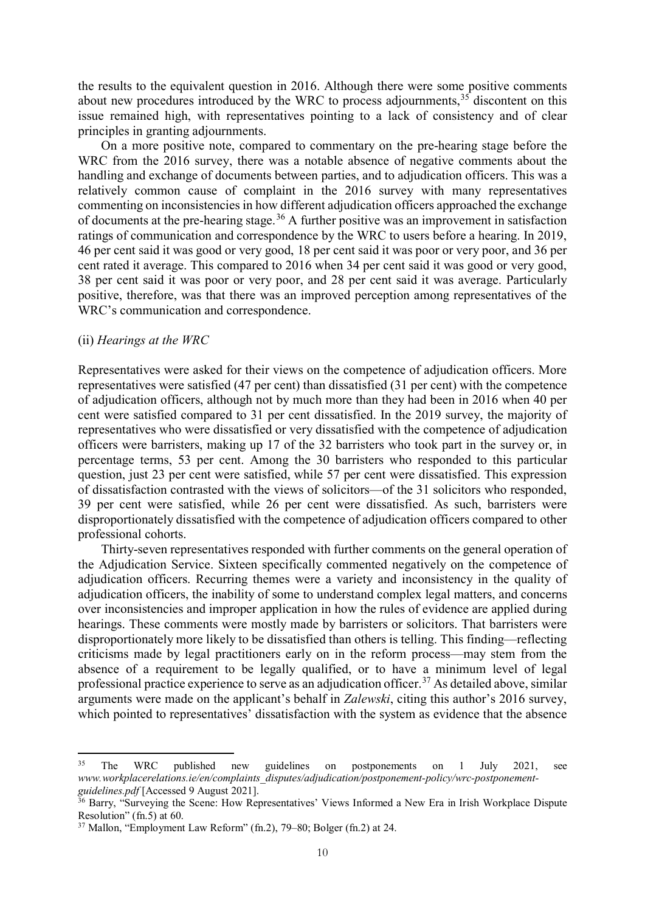the results to the equivalent question in 2016. Although there were some positive comments about new procedures introduced by the WRC to process adjournments,  $35$  discontent on this issue remained high, with representatives pointing to a lack of consistency and of clear principles in granting adjournments.

On a more positive note, compared to commentary on the pre-hearing stage before the WRC from the 2016 survey, there was a notable absence of negative comments about the handling and exchange of documents between parties, and to adjudication officers. This was a relatively common cause of complaint in the 2016 survey with many representatives commenting on inconsistencies in how different adjudication officers approached the exchange of documents at the pre-hearing stage.<sup>[36](#page-10-1)</sup> A further positive was an improvement in satisfaction ratings of communication and correspondence by the WRC to users before a hearing. In 2019, 46 per cent said it was good or very good, 18 per cent said it was poor or very poor, and 36 per cent rated it average. This compared to 2016 when 34 per cent said it was good or very good, 38 per cent said it was poor or very poor, and 28 per cent said it was average. Particularly positive, therefore, was that there was an improved perception among representatives of the WRC's communication and correspondence.

# (ii) *Hearings at the WRC*

.

Representatives were asked for their views on the competence of adjudication officers. More representatives were satisfied (47 per cent) than dissatisfied (31 per cent) with the competence of adjudication officers, although not by much more than they had been in 2016 when 40 per cent were satisfied compared to 31 per cent dissatisfied. In the 2019 survey, the majority of representatives who were dissatisfied or very dissatisfied with the competence of adjudication officers were barristers, making up 17 of the 32 barristers who took part in the survey or, in percentage terms, 53 per cent. Among the 30 barristers who responded to this particular question, just 23 per cent were satisfied, while 57 per cent were dissatisfied. This expression of dissatisfaction contrasted with the views of solicitors—of the 31 solicitors who responded, 39 per cent were satisfied, while 26 per cent were dissatisfied. As such, barristers were disproportionately dissatisfied with the competence of adjudication officers compared to other professional cohorts.

Thirty-seven representatives responded with further comments on the general operation of the Adjudication Service. Sixteen specifically commented negatively on the competence of adjudication officers. Recurring themes were a variety and inconsistency in the quality of adjudication officers, the inability of some to understand complex legal matters, and concerns over inconsistencies and improper application in how the rules of evidence are applied during hearings. These comments were mostly made by barristers or solicitors. That barristers were disproportionately more likely to be dissatisfied than others is telling. This finding—reflecting criticisms made by legal practitioners early on in the reform process—may stem from the absence of a requirement to be legally qualified, or to have a minimum level of legal professional practice experience to serve as an adjudication officer.[37](#page-10-2) As detailed above, similar arguments were made on the applicant's behalf in *Zalewski*, citing this author's 2016 survey, which pointed to representatives' dissatisfaction with the system as evidence that the absence

<span id="page-10-0"></span><sup>&</sup>lt;sup>35</sup> The WRC published new guidelines on postponements on 1 July 2021, see *www.workplacerelations.ie/en/complaints\_disputes/adjudication/postponement-policy/wrc-postponement-*

<span id="page-10-1"></span><sup>&</sup>lt;sup>36</sup> Barry, "Surveying the Scene: How Representatives' Views Informed a New Era in Irish Workplace Dispute Resolution" (fn.5) at 60.

<span id="page-10-2"></span><sup>37</sup> Mallon, "Employment Law Reform" (fn.2), 79–80; Bolger (fn.2) at 24.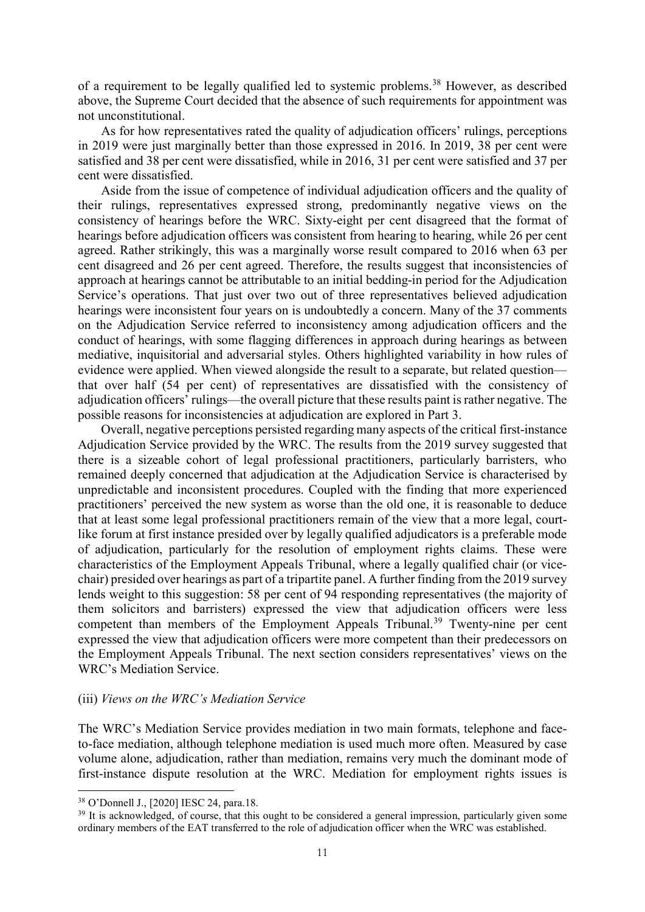of a requirement to be legally qualified led to systemic problems.<sup>[38](#page-11-0)</sup> However, as described above, the Supreme Court decided that the absence of such requirements for appointment was not unconstitutional.

As for how representatives rated the quality of adjudication officers' rulings, perceptions in 2019 were just marginally better than those expressed in 2016. In 2019, 38 per cent were satisfied and 38 per cent were dissatisfied, while in 2016, 31 per cent were satisfied and 37 per cent were dissatisfied.

Aside from the issue of competence of individual adjudication officers and the quality of their rulings, representatives expressed strong, predominantly negative views on the consistency of hearings before the WRC. Sixty-eight per cent disagreed that the format of hearings before adjudication officers was consistent from hearing to hearing, while 26 per cent agreed. Rather strikingly, this was a marginally worse result compared to 2016 when 63 per cent disagreed and 26 per cent agreed. Therefore, the results suggest that inconsistencies of approach at hearings cannot be attributable to an initial bedding-in period for the Adjudication Service's operations. That just over two out of three representatives believed adjudication hearings were inconsistent four years on is undoubtedly a concern. Many of the 37 comments on the Adjudication Service referred to inconsistency among adjudication officers and the conduct of hearings, with some flagging differences in approach during hearings as between mediative, inquisitorial and adversarial styles. Others highlighted variability in how rules of evidence were applied. When viewed alongside the result to a separate, but related question that over half (54 per cent) of representatives are dissatisfied with the consistency of adjudication officers' rulings—the overall picture that these results paint is rather negative. The possible reasons for inconsistencies at adjudication are explored in Part 3.

Overall, negative perceptions persisted regarding many aspects of the critical first-instance Adjudication Service provided by the WRC. The results from the 2019 survey suggested that there is a sizeable cohort of legal professional practitioners, particularly barristers, who remained deeply concerned that adjudication at the Adjudication Service is characterised by unpredictable and inconsistent procedures. Coupled with the finding that more experienced practitioners' perceived the new system as worse than the old one, it is reasonable to deduce that at least some legal professional practitioners remain of the view that a more legal, courtlike forum at first instance presided over by legally qualified adjudicators is a preferable mode of adjudication, particularly for the resolution of employment rights claims. These were characteristics of the Employment Appeals Tribunal, where a legally qualified chair (or vicechair) presided over hearings as part of a tripartite panel. A further finding from the 2019 survey lends weight to this suggestion: 58 per cent of 94 responding representatives (the majority of them solicitors and barristers) expressed the view that adjudication officers were less competent than members of the Employment Appeals Tribunal.<sup>[39](#page-11-1)</sup> Twenty-nine per cent expressed the view that adjudication officers were more competent than their predecessors on the Employment Appeals Tribunal. The next section considers representatives' views on the WRC's Mediation Service.

# (iii) *Views on the WRC's Mediation Service*

The WRC's Mediation Service provides mediation in two main formats, telephone and faceto-face mediation, although telephone mediation is used much more often. Measured by case volume alone, adjudication, rather than mediation, remains very much the dominant mode of first-instance dispute resolution at the WRC. Mediation for employment rights issues is

<span id="page-11-0"></span><sup>38</sup> O'Donnell J., [2020] IESC 24, para.18.

<span id="page-11-1"></span><sup>&</sup>lt;sup>39</sup> It is acknowledged, of course, that this ought to be considered a general impression, particularly given some ordinary members of the EAT transferred to the role of adjudication officer when the WRC was established.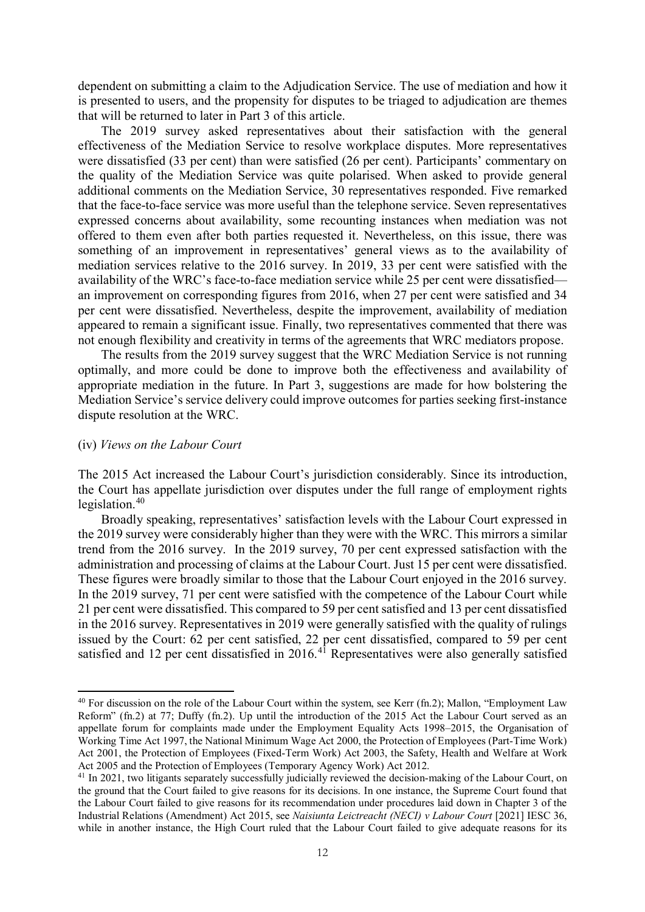dependent on submitting a claim to the Adjudication Service. The use of mediation and how it is presented to users, and the propensity for disputes to be triaged to adjudication are themes that will be returned to later in Part 3 of this article.

The 2019 survey asked representatives about their satisfaction with the general effectiveness of the Mediation Service to resolve workplace disputes. More representatives were dissatisfied (33 per cent) than were satisfied (26 per cent). Participants' commentary on the quality of the Mediation Service was quite polarised. When asked to provide general additional comments on the Mediation Service, 30 representatives responded. Five remarked that the face-to-face service was more useful than the telephone service. Seven representatives expressed concerns about availability, some recounting instances when mediation was not offered to them even after both parties requested it. Nevertheless, on this issue, there was something of an improvement in representatives' general views as to the availability of mediation services relative to the 2016 survey. In 2019, 33 per cent were satisfied with the availability of the WRC's face-to-face mediation service while 25 per cent were dissatisfied an improvement on corresponding figures from 2016, when 27 per cent were satisfied and 34 per cent were dissatisfied. Nevertheless, despite the improvement, availability of mediation appeared to remain a significant issue. Finally, two representatives commented that there was not enough flexibility and creativity in terms of the agreements that WRC mediators propose.

The results from the 2019 survey suggest that the WRC Mediation Service is not running optimally, and more could be done to improve both the effectiveness and availability of appropriate mediation in the future. In Part 3, suggestions are made for how bolstering the Mediation Service's service delivery could improve outcomes for parties seeking first-instance dispute resolution at the WRC.

#### (iv) *Views on the Labour Court*

.

The 2015 Act increased the Labour Court's jurisdiction considerably. Since its introduction, the Court has appellate jurisdiction over disputes under the full range of employment rights legislation. [40](#page-12-0)

Broadly speaking, representatives' satisfaction levels with the Labour Court expressed in the 2019 survey were considerably higher than they were with the WRC. This mirrors a similar trend from the 2016 survey. In the 2019 survey, 70 per cent expressed satisfaction with the administration and processing of claims at the Labour Court. Just 15 per cent were dissatisfied. These figures were broadly similar to those that the Labour Court enjoyed in the 2016 survey. In the 2019 survey, 71 per cent were satisfied with the competence of the Labour Court while 21 per cent were dissatisfied. This compared to 59 per cent satisfied and 13 per cent dissatisfied in the 2016 survey. Representatives in 2019 were generally satisfied with the quality of rulings issued by the Court: 62 per cent satisfied, 22 per cent dissatisfied, compared to 59 per cent satisfied and 12 per cent dissatisfied in 2016.<sup>[41](#page-12-1)</sup> Representatives were also generally satisfied

<span id="page-12-0"></span><sup>40</sup> For discussion on the role of the Labour Court within the system, see Kerr (fn.2); Mallon, "Employment Law Reform" (fn.2) at 77; Duffy (fn.2). Up until the introduction of the 2015 Act the Labour Court served as an appellate forum for complaints made under the Employment Equality Acts 1998–2015, the Organisation of Working Time Act 1997, the National Minimum Wage Act 2000, the Protection of Employees (Part-Time Work) Act 2001, the Protection of Employees (Fixed-Term Work) Act 2003, the Safety, Health and Welfare at Work Act 2005 and the Protection of Employees (Temporary Agency Work) Act 2012.

<span id="page-12-1"></span><sup>&</sup>lt;sup>41</sup> In 2021, two litigants separately successfully judicially reviewed the decision-making of the Labour Court, on the ground that the Court failed to give reasons for its decisions. In one instance, the Supreme Court found that the Labour Court failed to give reasons for its recommendation under procedures laid down in Chapter 3 of the Industrial Relations (Amendment) Act 2015, see *Naisiunta Leictreacht (NECI) v Labour Court* [2021] IESC 36, while in another instance, the High Court ruled that the Labour Court failed to give adequate reasons for its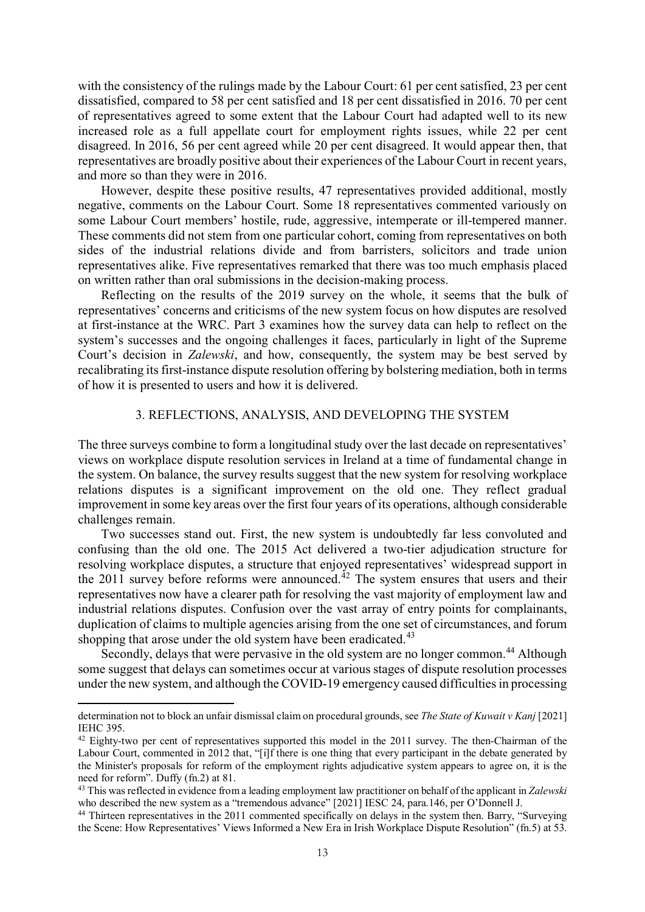with the consistency of the rulings made by the Labour Court: 61 per cent satisfied, 23 per cent dissatisfied, compared to 58 per cent satisfied and 18 per cent dissatisfied in 2016. 70 per cent of representatives agreed to some extent that the Labour Court had adapted well to its new increased role as a full appellate court for employment rights issues, while 22 per cent disagreed. In 2016, 56 per cent agreed while 20 per cent disagreed. It would appear then, that representatives are broadly positive about their experiences of the Labour Court in recent years, and more so than they were in 2016.

However, despite these positive results, 47 representatives provided additional, mostly negative, comments on the Labour Court. Some 18 representatives commented variously on some Labour Court members' hostile, rude, aggressive, intemperate or ill-tempered manner. These comments did not stem from one particular cohort, coming from representatives on both sides of the industrial relations divide and from barristers, solicitors and trade union representatives alike. Five representatives remarked that there was too much emphasis placed on written rather than oral submissions in the decision-making process.

Reflecting on the results of the 2019 survey on the whole, it seems that the bulk of representatives' concerns and criticisms of the new system focus on how disputes are resolved at first-instance at the WRC. Part 3 examines how the survey data can help to reflect on the system's successes and the ongoing challenges it faces, particularly in light of the Supreme Court's decision in *Zalewski*, and how, consequently, the system may be best served by recalibrating its first-instance dispute resolution offering by bolstering mediation, both in terms of how it is presented to users and how it is delivered.

## 3. REFLECTIONS, ANALYSIS, AND DEVELOPING THE SYSTEM

The three surveys combine to form a longitudinal study over the last decade on representatives' views on workplace dispute resolution services in Ireland at a time of fundamental change in the system. On balance, the survey results suggest that the new system for resolving workplace relations disputes is a significant improvement on the old one. They reflect gradual improvement in some key areas over the first four years of its operations, although considerable challenges remain.

Two successes stand out. First, the new system is undoubtedly far less convoluted and confusing than the old one. The 2015 Act delivered a two-tier adjudication structure for resolving workplace disputes, a structure that enjoyed representatives' widespread support in the 2011 survey before reforms were announced.<sup>[42](#page-13-0)</sup> The system ensures that users and their representatives now have a clearer path for resolving the vast majority of employment law and industrial relations disputes. Confusion over the vast array of entry points for complainants, duplication of claims to multiple agencies arising from the one set of circumstances, and forum shopping that arose under the old system have been eradicated.<sup>[43](#page-13-1)</sup>

Secondly, delays that were pervasive in the old system are no longer common.<sup>[44](#page-13-2)</sup> Although some suggest that delays can sometimes occur at various stages of dispute resolution processes under the new system, and although the COVID-19 emergency caused difficulties in processing

determination not to block an unfair dismissal claim on procedural grounds, see *The State of Kuwait v Kanj* [2021] IEHC 395.

<span id="page-13-0"></span><sup>&</sup>lt;sup>42</sup> Eighty-two per cent of representatives supported this model in the 2011 survey. The then-Chairman of the Labour Court, commented in 2012 that, "[i]f there is one thing that every participant in the debate generated by the Minister's proposals for reform of the employment rights adjudicative system appears to agree on, it is the need for reform". Duffy (fn.2) at 81.

<span id="page-13-1"></span><sup>43</sup> This was reflected in evidence from a leading employment law practitioner on behalf of the applicant in *Zalewski* who described the new system as a "tremendous advance" [2021] IESC 24, para.146, per O'Donnell J.

<span id="page-13-2"></span><sup>&</sup>lt;sup>44</sup> Thirteen representatives in the 2011 commented specifically on delays in the system then. Barry, "Surveying the Scene: How Representatives' Views Informed a New Era in Irish Workplace Dispute Resolution" (fn.5) at 53.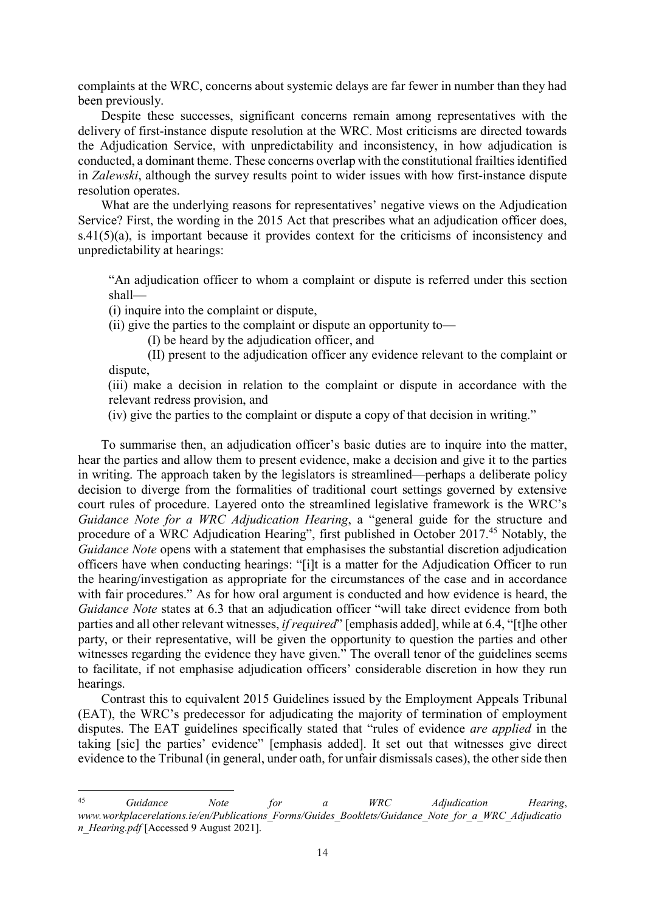complaints at the WRC, concerns about systemic delays are far fewer in number than they had been previously.

Despite these successes, significant concerns remain among representatives with the delivery of first-instance dispute resolution at the WRC. Most criticisms are directed towards the Adjudication Service, with unpredictability and inconsistency, in how adjudication is conducted, a dominant theme. These concerns overlap with the constitutional frailties identified in *Zalewski*, although the survey results point to wider issues with how first-instance dispute resolution operates.

What are the underlying reasons for representatives' negative views on the Adjudication Service? First, the wording in the 2015 Act that prescribes what an adjudication officer does, s.41(5)(a), is important because it provides context for the criticisms of inconsistency and unpredictability at hearings:

"An adjudication officer to whom a complaint or dispute is referred under this section shall—

(i) inquire into the complaint or dispute,

(ii) give the parties to the complaint or dispute an opportunity to—

(I) be heard by the adjudication officer, and

(II) present to the adjudication officer any evidence relevant to the complaint or dispute,

(iii) make a decision in relation to the complaint or dispute in accordance with the relevant redress provision, and

(iv) give the parties to the complaint or dispute a copy of that decision in writing."

To summarise then, an adjudication officer's basic duties are to inquire into the matter, hear the parties and allow them to present evidence, make a decision and give it to the parties in writing. The approach taken by the legislators is streamlined—perhaps a deliberate policy decision to diverge from the formalities of traditional court settings governed by extensive court rules of procedure. Layered onto the streamlined legislative framework is the WRC's *Guidance Note for a WRC Adjudication Hearing*, a "general guide for the structure and procedure of a WRC Adjudication Hearing", first published in October 2017.<sup>[45](#page-14-0)</sup> Notably, the *Guidance Note* opens with a statement that emphasises the substantial discretion adjudication officers have when conducting hearings: "[i]t is a matter for the Adjudication Officer to run the hearing/investigation as appropriate for the circumstances of the case and in accordance with fair procedures." As for how oral argument is conducted and how evidence is heard, the *Guidance Note* states at 6.3 that an adjudication officer "will take direct evidence from both parties and all other relevant witnesses, *if required*" [emphasis added], while at 6.4, "[t]he other party, or their representative, will be given the opportunity to question the parties and other witnesses regarding the evidence they have given." The overall tenor of the guidelines seems to facilitate, if not emphasise adjudication officers' considerable discretion in how they run hearings.

Contrast this to equivalent 2015 Guidelines issued by the Employment Appeals Tribunal (EAT), the WRC's predecessor for adjudicating the majority of termination of employment disputes. The EAT guidelines specifically stated that "rules of evidence *are applied* in the taking [sic] the parties' evidence" [emphasis added]. It set out that witnesses give direct evidence to the Tribunal (in general, under oath, for unfair dismissals cases), the other side then

<span id="page-14-0"></span> $45$ <sup>45</sup> *Guidance Note for a WRC Adjudication Hearing*, *www.workplacerelations.ie/en/Publications\_Forms/Guides\_Booklets/Guidance\_Note\_for\_a\_WRC\_Adjudicatio n\_Hearing.pdf* [Accessed 9 August 2021].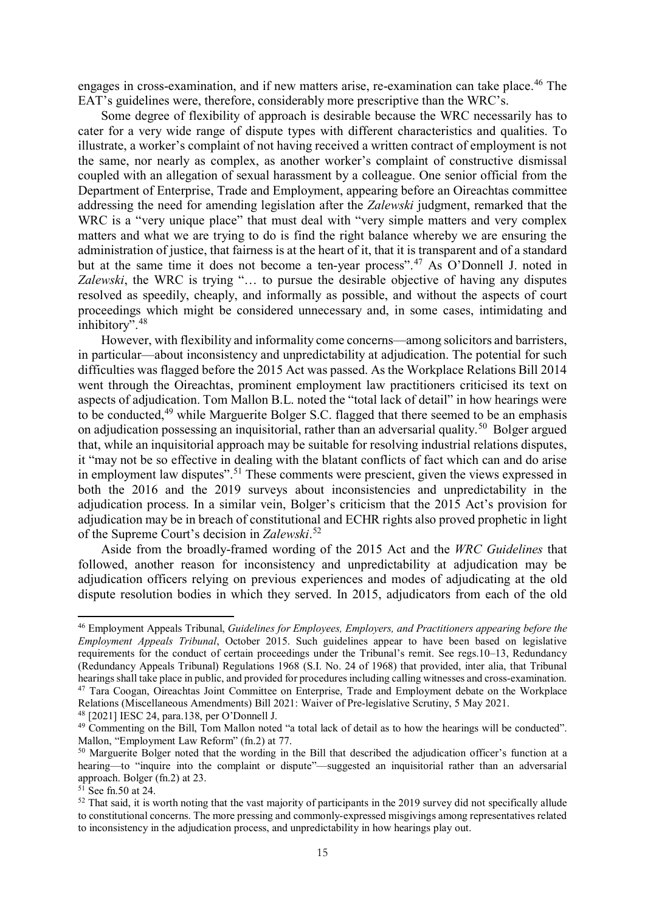engages in cross-examination, and if new matters arise, re-examination can take place.<sup>[46](#page-15-0)</sup> The EAT's guidelines were, therefore, considerably more prescriptive than the WRC's.

Some degree of flexibility of approach is desirable because the WRC necessarily has to cater for a very wide range of dispute types with different characteristics and qualities. To illustrate, a worker's complaint of not having received a written contract of employment is not the same, nor nearly as complex, as another worker's complaint of constructive dismissal coupled with an allegation of sexual harassment by a colleague. One senior official from the Department of Enterprise, Trade and Employment, appearing before an Oireachtas committee addressing the need for amending legislation after the *Zalewski* judgment, remarked that the WRC is a "very unique place" that must deal with "very simple matters and very complex matters and what we are trying to do is find the right balance whereby we are ensuring the administration of justice, that fairness is at the heart of it, that it is transparent and of a standard but at the same time it does not become a ten-year process".<sup>[47](#page-15-1)</sup> As O'Donnell J. noted in *Zalewski*, the WRC is trying "… to pursue the desirable objective of having any disputes resolved as speedily, cheaply, and informally as possible, and without the aspects of court proceedings which might be considered unnecessary and, in some cases, intimidating and inhibitory".<sup>[48](#page-15-2)</sup>

However, with flexibility and informality come concerns—among solicitors and barristers, in particular—about inconsistency and unpredictability at adjudication. The potential for such difficulties was flagged before the 2015 Act was passed. As the Workplace Relations Bill 2014 went through the Oireachtas, prominent employment law practitioners criticised its text on aspects of adjudication. Tom Mallon B.L. noted the "total lack of detail" in how hearings were to be conducted,<sup>[49](#page-15-3)</sup> while Marguerite Bolger S.C. flagged that there seemed to be an emphasis on adjudication possessing an inquisitorial, rather than an adversarial quality.<sup>50</sup> Bolger argued that, while an inquisitorial approach may be suitable for resolving industrial relations disputes, it "may not be so effective in dealing with the blatant conflicts of fact which can and do arise in employment law disputes".<sup>[51](#page-15-5)</sup> These comments were prescient, given the views expressed in both the 2016 and the 2019 surveys about inconsistencies and unpredictability in the adjudication process. In a similar vein, Bolger's criticism that the 2015 Act's provision for adjudication may be in breach of constitutional and ECHR rights also proved prophetic in light of the Supreme Court's decision in *Zalewski*. [52](#page-15-6)

Aside from the broadly-framed wording of the 2015 Act and the *WRC Guidelines* that followed, another reason for inconsistency and unpredictability at adjudication may be adjudication officers relying on previous experiences and modes of adjudicating at the old dispute resolution bodies in which they served. In 2015, adjudicators from each of the old

<span id="page-15-2"></span><span id="page-15-1"></span><sup>48</sup> [2021] IESC 24, para.138, per O'Donnell J.

<span id="page-15-0"></span><sup>46</sup> Employment Appeals Tribunal, *Guidelines for Employees, Employers, and Practitioners appearing before the Employment Appeals Tribunal*, October 2015. Such guidelines appear to have been based on legislative requirements for the conduct of certain proceedings under the Tribunal's remit. See regs.10–13, Redundancy (Redundancy Appeals Tribunal) Regulations 1968 (S.I. No. 24 of 1968) that provided, inter alia, that Tribunal hearings shall take place in public, and provided for procedures including calling witnesses and cross-examination. <sup>47</sup> Tara Coogan, Oireachtas Joint Committee on Enterprise, Trade and Employment debate on the Workplace Relations (Miscellaneous Amendments) Bill 2021: Waiver of Pre-legislative Scrutiny, 5 May 2021.

<span id="page-15-3"></span><sup>&</sup>lt;sup>49</sup> Commenting on the Bill, Tom Mallon noted "a total lack of detail as to how the hearings will be conducted". Mallon, "Employment Law Reform" (fn.2) at 77.

<span id="page-15-4"></span><sup>&</sup>lt;sup>50</sup> Marguerite Bolger noted that the wording in the Bill that described the adjudication officer's function at a hearing—to "inquire into the complaint or dispute"—suggested an inquisitorial rather than an adversarial approach. Bolger (fn.2) at 23.

<span id="page-15-5"></span> $51$  See fn.50 at 24.

<span id="page-15-6"></span> $52$  That said, it is worth noting that the vast majority of participants in the 2019 survey did not specifically allude to constitutional concerns. The more pressing and commonly-expressed misgivings among representatives related to inconsistency in the adjudication process, and unpredictability in how hearings play out.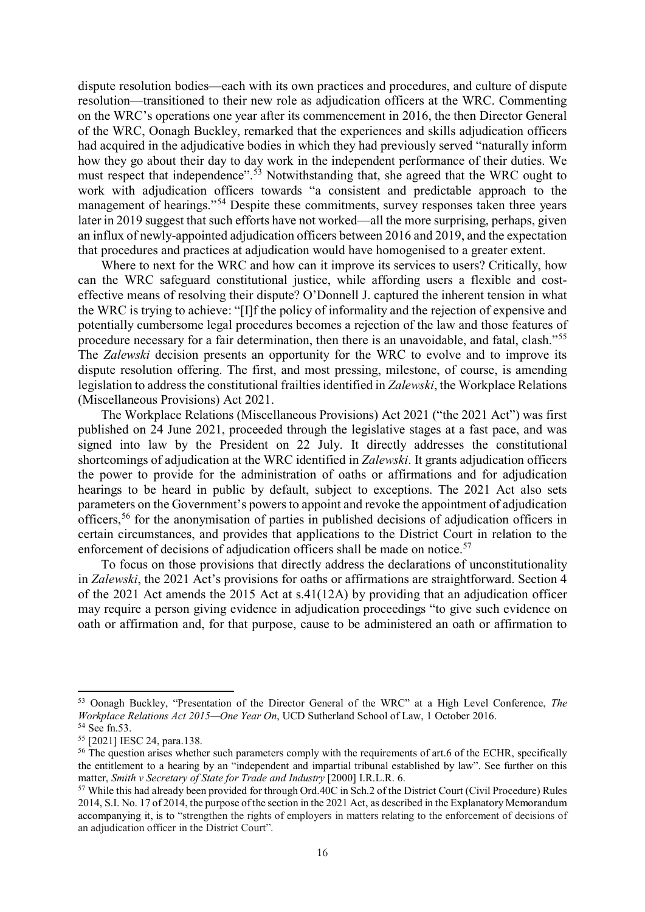dispute resolution bodies—each with its own practices and procedures, and culture of dispute resolution—transitioned to their new role as adjudication officers at the WRC. Commenting on the WRC's operations one year after its commencement in 2016, the then Director General of the WRC, Oonagh Buckley, remarked that the experiences and skills adjudication officers had acquired in the adjudicative bodies in which they had previously served "naturally inform how they go about their day to day work in the independent performance of their duties. We must respect that independence".<sup>[53](#page-16-0)</sup> Notwithstanding that, she agreed that the WRC ought to work with adjudication officers towards "a consistent and predictable approach to the management of hearings."<sup>[54](#page-16-1)</sup> Despite these commitments, survey responses taken three years later in 2019 suggest that such efforts have not worked—all the more surprising, perhaps, given an influx of newly-appointed adjudication officers between 2016 and 2019, and the expectation that procedures and practices at adjudication would have homogenised to a greater extent.

Where to next for the WRC and how can it improve its services to users? Critically, how can the WRC safeguard constitutional justice, while affording users a flexible and costeffective means of resolving their dispute? O'Donnell J. captured the inherent tension in what the WRC is trying to achieve: "[I]f the policy of informality and the rejection of expensive and potentially cumbersome legal procedures becomes a rejection of the law and those features of procedure necessary for a fair determination, then there is an unavoidable, and fatal, clash."[55](#page-16-2) The *Zalewski* decision presents an opportunity for the WRC to evolve and to improve its dispute resolution offering. The first, and most pressing, milestone, of course, is amending legislation to address the constitutional frailties identified in *Zalewski*, the Workplace Relations (Miscellaneous Provisions) Act 2021.

The Workplace Relations (Miscellaneous Provisions) Act 2021 ("the 2021 Act") was first published on 24 June 2021, proceeded through the legislative stages at a fast pace, and was signed into law by the President on 22 July. It directly addresses the constitutional shortcomings of adjudication at the WRC identified in *Zalewski*. It grants adjudication officers the power to provide for the administration of oaths or affirmations and for adjudication hearings to be heard in public by default, subject to exceptions. The 2021 Act also sets parameters on the Government's powers to appoint and revoke the appointment of adjudication officers,<sup>[56](#page-16-3)</sup> for the anonymisation of parties in published decisions of adjudication officers in certain circumstances, and provides that applications to the District Court in relation to the enforcement of decisions of adjudication officers shall be made on notice.<sup>[57](#page-16-4)</sup>

To focus on those provisions that directly address the declarations of unconstitutionality in *Zalewski*, the 2021 Act's provisions for oaths or affirmations are straightforward. Section 4 of the 2021 Act amends the 2015 Act at s.41(12A) by providing that an adjudication officer may require a person giving evidence in adjudication proceedings "to give such evidence on oath or affirmation and, for that purpose, cause to be administered an oath or affirmation to

<span id="page-16-0"></span><sup>53</sup> Oonagh Buckley, "Presentation of the Director General of the WRC" at a High Level Conference, *The Workplace Relations Act 2015—One Year On*, UCD Sutherland School of Law, 1 October 2016.

<span id="page-16-1"></span><sup>54</sup> See fn.53.

<span id="page-16-2"></span><sup>55</sup> [2021] IESC 24, para.138.

<span id="page-16-3"></span><sup>&</sup>lt;sup>56</sup> The question arises whether such parameters comply with the requirements of art.6 of the ECHR, specifically the entitlement to a hearing by an "independent and impartial tribunal established by law". See further on this matter, *Smith v Secretary of State for Trade and Industry* [2000] I.R.L.R. 6.

<span id="page-16-4"></span><sup>57</sup> While this had already been provided for through Ord.40C in Sch.2 of the District Court (Civil Procedure) Rules 2014, S.I. No. 17 of 2014, the purpose of the section in the 2021 Act, as described in the Explanatory Memorandum accompanying it, is to "strengthen the rights of employers in matters relating to the enforcement of decisions of an adjudication officer in the District Court".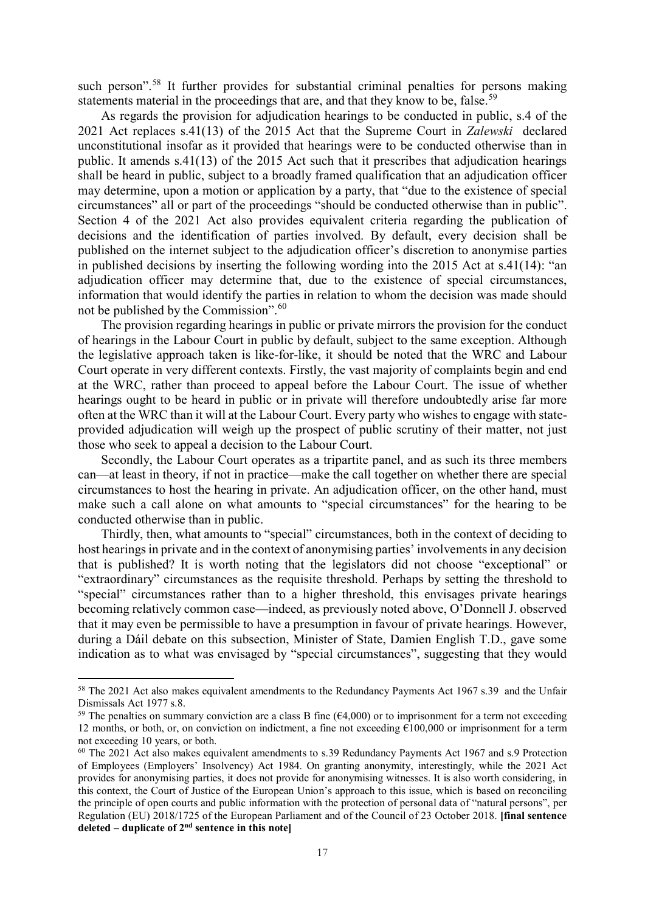such person".<sup>[58](#page-17-0)</sup> It further provides for substantial criminal penalties for persons making statements material in the proceedings that are, and that they know to be, false.<sup>[59](#page-17-1)</sup>

As regards the provision for adjudication hearings to be conducted in public, s.4 of the 2021 Act replaces s.41(13) of the 2015 Act that the Supreme Court in *Zalewski* declared unconstitutional insofar as it provided that hearings were to be conducted otherwise than in public. It amends s.41(13) of the 2015 Act such that it prescribes that adjudication hearings shall be heard in public, subject to a broadly framed qualification that an adjudication officer may determine, upon a motion or application by a party, that "due to the existence of special circumstances" all or part of the proceedings "should be conducted otherwise than in public". Section 4 of the 2021 Act also provides equivalent criteria regarding the publication of decisions and the identification of parties involved. By default, every decision shall be published on the internet subject to the adjudication officer's discretion to anonymise parties in published decisions by inserting the following wording into the 2015 Act at s.41(14): "an adjudication officer may determine that, due to the existence of special circumstances, information that would identify the parties in relation to whom the decision was made should not be published by the Commission". [60](#page-17-2)

The provision regarding hearings in public or private mirrors the provision for the conduct of hearings in the Labour Court in public by default, subject to the same exception. Although the legislative approach taken is like-for-like, it should be noted that the WRC and Labour Court operate in very different contexts. Firstly, the vast majority of complaints begin and end at the WRC, rather than proceed to appeal before the Labour Court. The issue of whether hearings ought to be heard in public or in private will therefore undoubtedly arise far more often at the WRC than it will at the Labour Court. Every party who wishes to engage with stateprovided adjudication will weigh up the prospect of public scrutiny of their matter, not just those who seek to appeal a decision to the Labour Court.

Secondly, the Labour Court operates as a tripartite panel, and as such its three members can—at least in theory, if not in practice—make the call together on whether there are special circumstances to host the hearing in private. An adjudication officer, on the other hand, must make such a call alone on what amounts to "special circumstances" for the hearing to be conducted otherwise than in public.

Thirdly, then, what amounts to "special" circumstances, both in the context of deciding to host hearings in private and in the context of anonymising parties' involvements in any decision that is published? It is worth noting that the legislators did not choose "exceptional" or "extraordinary" circumstances as the requisite threshold. Perhaps by setting the threshold to "special" circumstances rather than to a higher threshold, this envisages private hearings becoming relatively common case—indeed, as previously noted above, O'Donnell J. observed that it may even be permissible to have a presumption in favour of private hearings. However, during a Dáil debate on this subsection, Minister of State, Damien English T.D., gave some indication as to what was envisaged by "special circumstances", suggesting that they would

<span id="page-17-0"></span><sup>&</sup>lt;sup>58</sup> The 2021 Act also makes equivalent amendments to the Redundancy Payments Act 1967 s.39 and the Unfair Dismissals Act 1977 s.8.

<span id="page-17-1"></span><sup>&</sup>lt;sup>59</sup> The penalties on summary conviction are a class B fine  $(64,000)$  or to imprisonment for a term not exceeding 12 months, or both, or, on conviction on indictment, a fine not exceeding €100,000 or imprisonment for a term not exceeding 10 years, or both.

<span id="page-17-2"></span><sup>60</sup> The 2021 Act also makes equivalent amendments to s.39 Redundancy Payments Act 1967 and s.9 Protection of Employees (Employers' Insolvency) Act 1984. On granting anonymity, interestingly, while the 2021 Act provides for anonymising parties, it does not provide for anonymising witnesses. It is also worth considering, in this context, the Court of Justice of the European Union's approach to this issue, which is based on reconciling the principle of open courts and public information with the protection of personal data of "natural persons", per Regulation (EU) 2018/1725 of the European Parliament and of the Council of 23 October 2018. **[final sentence deleted – duplicate of 2nd sentence in this note]**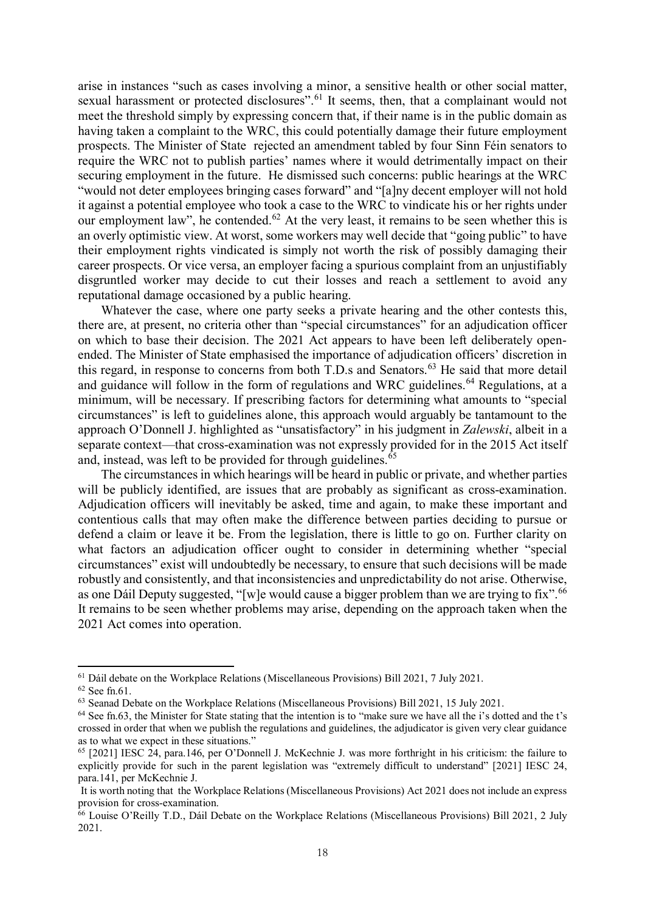arise in instances "such as cases involving a minor, a sensitive health or other social matter, sexual harassment or protected disclosures".<sup>[61](#page-18-0)</sup> It seems, then, that a complainant would not meet the threshold simply by expressing concern that, if their name is in the public domain as having taken a complaint to the WRC, this could potentially damage their future employment prospects. The Minister of State rejected an amendment tabled by four Sinn Féin senators to require the WRC not to publish parties' names where it would detrimentally impact on their securing employment in the future. He dismissed such concerns: public hearings at the WRC "would not deter employees bringing cases forward" and "[a]ny decent employer will not hold it against a potential employee who took a case to the WRC to vindicate his or her rights under our employment law", he contended.<sup>[62](#page-18-1)</sup> At the very least, it remains to be seen whether this is an overly optimistic view. At worst, some workers may well decide that "going public" to have their employment rights vindicated is simply not worth the risk of possibly damaging their career prospects. Or vice versa, an employer facing a spurious complaint from an unjustifiably disgruntled worker may decide to cut their losses and reach a settlement to avoid any reputational damage occasioned by a public hearing.

Whatever the case, where one party seeks a private hearing and the other contests this, there are, at present, no criteria other than "special circumstances" for an adjudication officer on which to base their decision. The 2021 Act appears to have been left deliberately openended. The Minister of State emphasised the importance of adjudication officers' discretion in this regard, in response to concerns from both T.D.s and Senators.<sup>[63](#page-18-2)</sup> He said that more detail and guidance will follow in the form of regulations and WRC guidelines.<sup>[64](#page-18-3)</sup> Regulations, at a minimum, will be necessary. If prescribing factors for determining what amounts to "special circumstances" is left to guidelines alone, this approach would arguably be tantamount to the approach O'Donnell J. highlighted as "unsatisfactory" in his judgment in *Zalewski*, albeit in a separate context—that cross-examination was not expressly provided for in the 2015 Act itself and, instead, was left to be provided for through guidelines. [65](#page-18-4)

The circumstances in which hearings will be heard in public or private, and whether parties will be publicly identified, are issues that are probably as significant as cross-examination. Adjudication officers will inevitably be asked, time and again, to make these important and contentious calls that may often make the difference between parties deciding to pursue or defend a claim or leave it be. From the legislation, there is little to go on. Further clarity on what factors an adjudication officer ought to consider in determining whether "special circumstances" exist will undoubtedly be necessary, to ensure that such decisions will be made robustly and consistently, and that inconsistencies and unpredictability do not arise. Otherwise, as one Dáil Deputy suggested, "[w]e would cause a bigger problem than we are trying to fix".<sup>[66](#page-18-5)</sup> It remains to be seen whether problems may arise, depending on the approach taken when the 2021 Act comes into operation.

<span id="page-18-0"></span><sup>61</sup> Dáil debate on the Workplace Relations (Miscellaneous Provisions) Bill 2021, 7 July 2021.

<span id="page-18-1"></span> $62$  See fn.61.

<span id="page-18-2"></span><sup>63</sup> Seanad Debate on the Workplace Relations (Miscellaneous Provisions) Bill 2021, 15 July 2021.

<span id="page-18-3"></span><sup>64</sup> See fn.63, the Minister for State stating that the intention is to "make sure we have all the i's dotted and the t's crossed in order that when we publish the regulations and guidelines, the adjudicator is given very clear guidance as to what we expect in these situations."

<span id="page-18-4"></span> $65$  [2021] IESC 24, para.146, per O'Donnell J. McKechnie J. was more forthright in his criticism: the failure to explicitly provide for such in the parent legislation was "extremely difficult to understand" [2021] IESC 24, para.141, per McKechnie J.

It is worth noting that the Workplace Relations (Miscellaneous Provisions) Act 2021 does not include an express provision for cross-examination.

<span id="page-18-5"></span><sup>&</sup>lt;sup>66</sup> Louise O'Reilly T.D., Dáil Debate on the Workplace Relations (Miscellaneous Provisions) Bill 2021, 2 July 2021.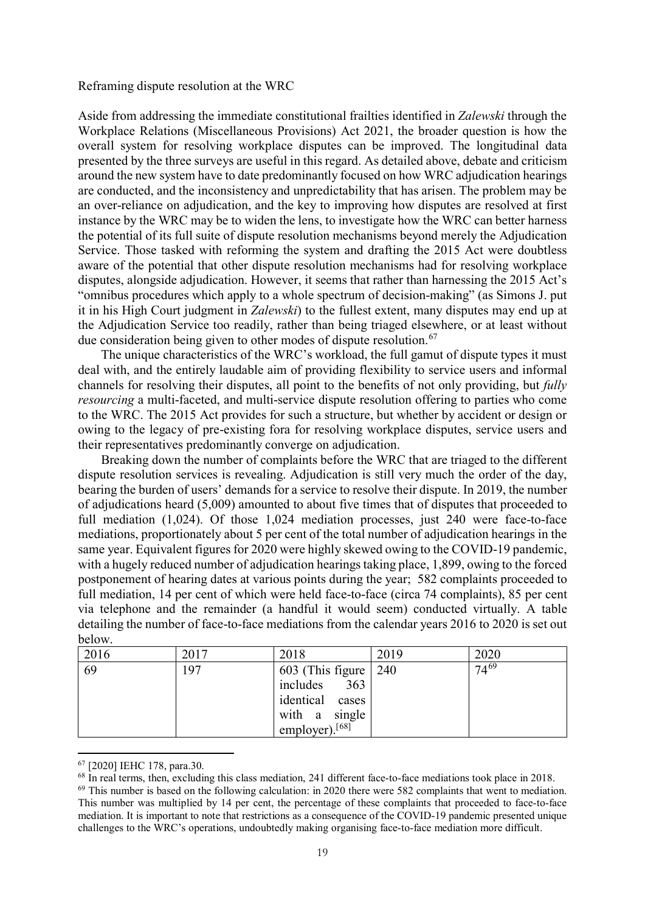Reframing dispute resolution at the WRC

Aside from addressing the immediate constitutional frailties identified in *Zalewski* through the Workplace Relations (Miscellaneous Provisions) Act 2021, the broader question is how the overall system for resolving workplace disputes can be improved. The longitudinal data presented by the three surveys are useful in this regard. As detailed above, debate and criticism around the new system have to date predominantly focused on how WRC adjudication hearings are conducted, and the inconsistency and unpredictability that has arisen. The problem may be an over-reliance on adjudication, and the key to improving how disputes are resolved at first instance by the WRC may be to widen the lens, to investigate how the WRC can better harness the potential of its full suite of dispute resolution mechanisms beyond merely the Adjudication Service. Those tasked with reforming the system and drafting the 2015 Act were doubtless aware of the potential that other dispute resolution mechanisms had for resolving workplace disputes, alongside adjudication. However, it seems that rather than harnessing the 2015 Act's "omnibus procedures which apply to a whole spectrum of decision-making" (as Simons J. put it in his High Court judgment in *Zalewski*) to the fullest extent, many disputes may end up at the Adjudication Service too readily, rather than being triaged elsewhere, or at least without due consideration being given to other modes of dispute resolution.  $67$ 

The unique characteristics of the WRC's workload, the full gamut of dispute types it must deal with, and the entirely laudable aim of providing flexibility to service users and informal channels for resolving their disputes, all point to the benefits of not only providing, but *fully resourcing* a multi-faceted, and multi-service dispute resolution offering to parties who come to the WRC. The 2015 Act provides for such a structure, but whether by accident or design or owing to the legacy of pre-existing fora for resolving workplace disputes, service users and their representatives predominantly converge on adjudication.

Breaking down the number of complaints before the WRC that are triaged to the different dispute resolution services is revealing. Adjudication is still very much the order of the day, bearing the burden of users' demands for a service to resolve their dispute. In 2019, the number of adjudications heard (5,009) amounted to about five times that of disputes that proceeded to full mediation (1,024). Of those 1,024 mediation processes, just 240 were face-to-face mediations, proportionately about 5 per cent of the total number of adjudication hearings in the same year. Equivalent figures for 2020 were highly skewed owing to the COVID-19 pandemic, with a hugely reduced number of adjudication hearings taking place, 1,899, owing to the forced postponement of hearing dates at various points during the year; 582 complaints proceeded to full mediation, 14 per cent of which were held face-to-face (circa 74 complaints), 85 per cent via telephone and the remainder (a handful it would seem) conducted virtually. A table detailing the number of face-to-face mediations from the calendar years 2016 to 2020 is set out below.

| 2016 | 2017 | 2018                         | 2019 | 2020      |
|------|------|------------------------------|------|-----------|
| 69   | 197  | 603 (This figure $\vert$ 240 |      | $74^{69}$ |
|      |      | 363<br>includes              |      |           |
|      |      | identical cases              |      |           |
|      |      | with a single                |      |           |
|      |      | employer). $[68]$            |      |           |

<span id="page-19-0"></span><sup>67</sup> [2020] IEHC 178, para.30.

<span id="page-19-1"></span><sup>&</sup>lt;sup>68</sup> In real terms, then, excluding this class mediation, 241 different face-to-face mediations took place in 2018.

<span id="page-19-2"></span><sup>&</sup>lt;sup>69</sup> This number is based on the following calculation: in 2020 there were 582 complaints that went to mediation. This number was multiplied by 14 per cent, the percentage of these complaints that proceeded to face-to-face mediation. It is important to note that restrictions as a consequence of the COVID-19 pandemic presented unique challenges to the WRC's operations, undoubtedly making organising face-to-face mediation more difficult.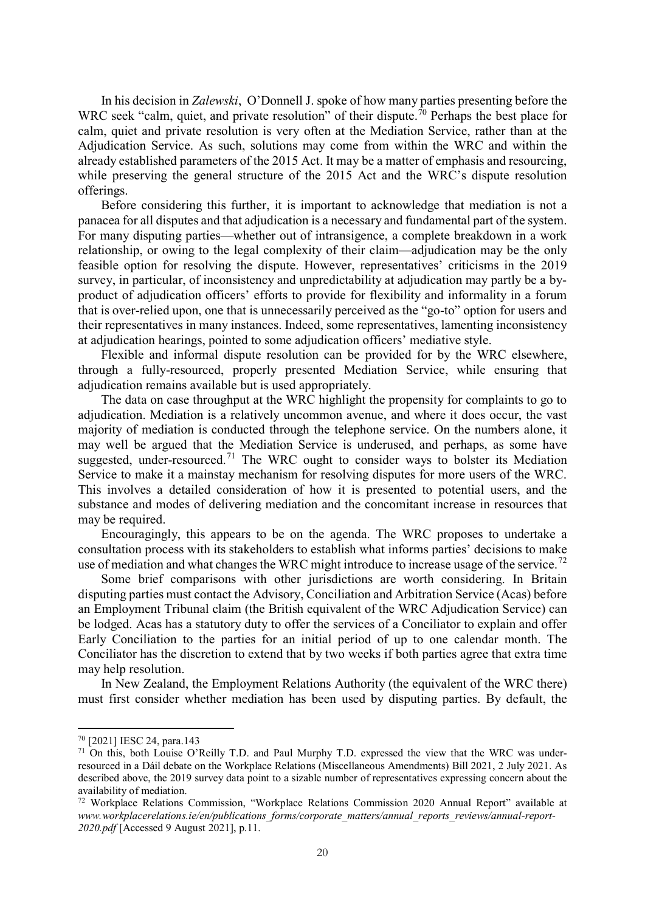In his decision in *Zalewski*, O'Donnell J. spoke of how many parties presenting before the WRC seek "calm, quiet, and private resolution" of their dispute.<sup>[70](#page-20-0)</sup> Perhaps the best place for calm, quiet and private resolution is very often at the Mediation Service, rather than at the Adjudication Service. As such, solutions may come from within the WRC and within the already established parameters of the 2015 Act. It may be a matter of emphasis and resourcing, while preserving the general structure of the 2015 Act and the WRC's dispute resolution offerings.

Before considering this further, it is important to acknowledge that mediation is not a panacea for all disputes and that adjudication is a necessary and fundamental part of the system. For many disputing parties—whether out of intransigence, a complete breakdown in a work relationship, or owing to the legal complexity of their claim—adjudication may be the only feasible option for resolving the dispute. However, representatives' criticisms in the 2019 survey, in particular, of inconsistency and unpredictability at adjudication may partly be a byproduct of adjudication officers' efforts to provide for flexibility and informality in a forum that is over-relied upon, one that is unnecessarily perceived as the "go-to" option for users and their representatives in many instances. Indeed, some representatives, lamenting inconsistency at adjudication hearings, pointed to some adjudication officers' mediative style.

Flexible and informal dispute resolution can be provided for by the WRC elsewhere, through a fully-resourced, properly presented Mediation Service, while ensuring that adjudication remains available but is used appropriately.

The data on case throughput at the WRC highlight the propensity for complaints to go to adjudication. Mediation is a relatively uncommon avenue, and where it does occur, the vast majority of mediation is conducted through the telephone service. On the numbers alone, it may well be argued that the Mediation Service is underused, and perhaps, as some have suggested, under-resourced.<sup>[71](#page-20-1)</sup> The WRC ought to consider ways to bolster its Mediation Service to make it a mainstay mechanism for resolving disputes for more users of the WRC. This involves a detailed consideration of how it is presented to potential users, and the substance and modes of delivering mediation and the concomitant increase in resources that may be required.

Encouragingly, this appears to be on the agenda. The WRC proposes to undertake a consultation process with its stakeholders to establish what informs parties' decisions to make use of mediation and what changes the WRC might introduce to increase usage of the service.<sup>[72](#page-20-2)</sup>

Some brief comparisons with other jurisdictions are worth considering. In Britain disputing parties must contact the Advisory, Conciliation and Arbitration Service (Acas) before an Employment Tribunal claim (the British equivalent of the WRC Adjudication Service) can be lodged. Acas has a statutory duty to offer the services of a Conciliator to explain and offer Early Conciliation to the parties for an initial period of up to one calendar month. The Conciliator has the discretion to extend that by two weeks if both parties agree that extra time may help resolution.

In New Zealand, the Employment Relations Authority (the equivalent of the WRC there) must first consider whether mediation has been used by disputing parties. By default, the

<span id="page-20-0"></span><sup>70</sup> [2021] IESC 24, para.143

<span id="page-20-1"></span><sup>&</sup>lt;sup>71</sup> On this, both Louise O'Reilly T.D. and Paul Murphy T.D. expressed the view that the WRC was underresourced in a Dáil debate on the Workplace Relations (Miscellaneous Amendments) Bill 2021, 2 July 2021. As described above, the 2019 survey data point to a sizable number of representatives expressing concern about the availability of mediation.

<span id="page-20-2"></span><sup>72</sup> Workplace Relations Commission, "Workplace Relations Commission 2020 Annual Report" available at www.workplacerelations.ie/en/publications\_forms/corporate\_matters/annual\_reports\_reviews/annual-report-*2020.pdf* [Accessed 9 August 2021], p.11.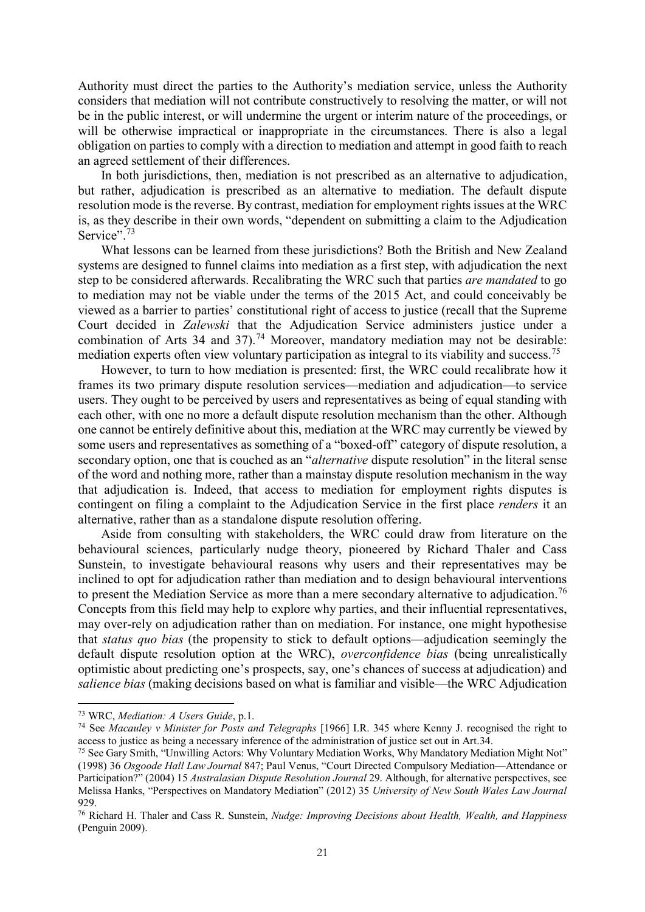Authority must direct the parties to the Authority's mediation service, unless the Authority considers that mediation will not contribute constructively to resolving the matter, or will not be in the public interest, or will undermine the urgent or interim nature of the proceedings, or will be otherwise impractical or inappropriate in the circumstances. There is also a legal obligation on parties to comply with a direction to mediation and attempt in good faith to reach an agreed settlement of their differences.

In both jurisdictions, then, mediation is not prescribed as an alternative to adjudication, but rather, adjudication is prescribed as an alternative to mediation. The default dispute resolution mode is the reverse. By contrast, mediation for employment rights issues at the WRC is, as they describe in their own words, "dependent on submitting a claim to the Adjudication Service".<sup>[73](#page-21-0)</sup>

What lessons can be learned from these jurisdictions? Both the British and New Zealand systems are designed to funnel claims into mediation as a first step, with adjudication the next step to be considered afterwards. Recalibrating the WRC such that parties *are mandated* to go to mediation may not be viable under the terms of the 2015 Act, and could conceivably be viewed as a barrier to parties' constitutional right of access to justice (recall that the Supreme Court decided in *Zalewski* that the Adjudication Service administers justice under a combination of Arts 34 and 37).<sup>[74](#page-21-1)</sup> Moreover, mandatory mediation may not be desirable: mediation experts often view voluntary participation as integral to its viability and success.<sup>[75](#page-21-2)</sup>

However, to turn to how mediation is presented: first, the WRC could recalibrate how it frames its two primary dispute resolution services—mediation and adjudication—to service users. They ought to be perceived by users and representatives as being of equal standing with each other, with one no more a default dispute resolution mechanism than the other. Although one cannot be entirely definitive about this, mediation at the WRC may currently be viewed by some users and representatives as something of a "boxed-off" category of dispute resolution, a secondary option, one that is couched as an "*alternative* dispute resolution" in the literal sense of the word and nothing more, rather than a mainstay dispute resolution mechanism in the way that adjudication is. Indeed, that access to mediation for employment rights disputes is contingent on filing a complaint to the Adjudication Service in the first place *renders* it an alternative, rather than as a standalone dispute resolution offering.

Aside from consulting with stakeholders, the WRC could draw from literature on the behavioural sciences, particularly nudge theory, pioneered by Richard Thaler and Cass Sunstein, to investigate behavioural reasons why users and their representatives may be inclined to opt for adjudication rather than mediation and to design behavioural interventions to present the Mediation Service as more than a mere secondary alternative to adjudication.<sup>[76](#page-21-3)</sup> Concepts from this field may help to explore why parties, and their influential representatives, may over-rely on adjudication rather than on mediation. For instance, one might hypothesise that *status quo bias* (the propensity to stick to default options—adjudication seemingly the default dispute resolution option at the WRC), *overconfidence bias* (being unrealistically optimistic about predicting one's prospects, say, one's chances of success at adjudication) and *salience bias* (making decisions based on what is familiar and visible—the WRC Adjudication

<span id="page-21-0"></span><sup>73</sup> WRC, *Mediation: A Users Guide*, p.1.

<span id="page-21-1"></span><sup>74</sup> See *Macauley v Minister for Posts and Telegraphs* [1966] I.R. 345 where Kenny J. recognised the right to access to justice as being a necessary inference of the administration of justice set out in Art.34.

<span id="page-21-2"></span><sup>75</sup> See Gary Smith, "Unwilling Actors: Why Voluntary Mediation Works, Why Mandatory Mediation Might Not" (1998) 36 *Osgoode Hall Law Journal* 847; Paul Venus, "Court Directed Compulsory Mediation—Attendance or Participation?" (2004) 15 *Australasian Dispute Resolution Journal* 29. Although, for alternative perspectives, see Melissa Hanks, "Perspectives on Mandatory Mediation" (2012) 35 *University of New South Wales Law Journal*  929.

<span id="page-21-3"></span><sup>76</sup> Richard H. Thaler and Cass R. Sunstein, *Nudge: Improving Decisions about Health, Wealth, and Happiness* (Penguin 2009).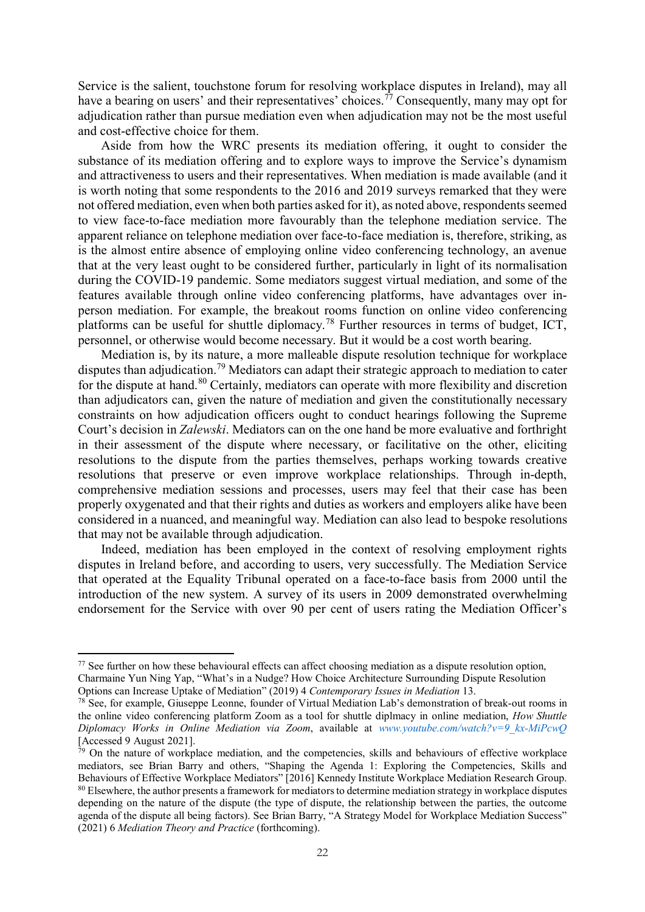Service is the salient, touchstone forum for resolving workplace disputes in Ireland), may all have a bearing on users' and their representatives' choices.<sup>[77](#page-22-0)</sup> Consequently, many may opt for adjudication rather than pursue mediation even when adjudication may not be the most useful and cost-effective choice for them.

Aside from how the WRC presents its mediation offering, it ought to consider the substance of its mediation offering and to explore ways to improve the Service's dynamism and attractiveness to users and their representatives. When mediation is made available (and it is worth noting that some respondents to the 2016 and 2019 surveys remarked that they were not offered mediation, even when both parties asked for it), as noted above, respondents seemed to view face-to-face mediation more favourably than the telephone mediation service. The apparent reliance on telephone mediation over face-to-face mediation is, therefore, striking, as is the almost entire absence of employing online video conferencing technology, an avenue that at the very least ought to be considered further, particularly in light of its normalisation during the COVID-19 pandemic. Some mediators suggest virtual mediation, and some of the features available through online video conferencing platforms, have advantages over inperson mediation. For example, the breakout rooms function on online video conferencing platforms can be useful for shuttle diplomacy.[78](#page-22-1) Further resources in terms of budget, ICT, personnel, or otherwise would become necessary. But it would be a cost worth bearing.

Mediation is, by its nature, a more malleable dispute resolution technique for workplace disputes than adjudication.<sup>[79](#page-22-2)</sup> Mediators can adapt their strategic approach to mediation to cater for the dispute at hand.<sup>[80](#page-22-3)</sup> Certainly, mediators can operate with more flexibility and discretion than adjudicators can, given the nature of mediation and given the constitutionally necessary constraints on how adjudication officers ought to conduct hearings following the Supreme Court's decision in *Zalewski*. Mediators can on the one hand be more evaluative and forthright in their assessment of the dispute where necessary, or facilitative on the other, eliciting resolutions to the dispute from the parties themselves, perhaps working towards creative resolutions that preserve or even improve workplace relationships. Through in-depth, comprehensive mediation sessions and processes, users may feel that their case has been properly oxygenated and that their rights and duties as workers and employers alike have been considered in a nuanced, and meaningful way. Mediation can also lead to bespoke resolutions that may not be available through adjudication.

Indeed, mediation has been employed in the context of resolving employment rights disputes in Ireland before, and according to users, very successfully. The Mediation Service that operated at the Equality Tribunal operated on a face-to-face basis from 2000 until the introduction of the new system. A survey of its users in 2009 demonstrated overwhelming endorsement for the Service with over 90 per cent of users rating the Mediation Officer's

<span id="page-22-0"></span><sup>&</sup>lt;sup>77</sup> See further on how these behavioural effects can affect choosing mediation as a dispute resolution option, Charmaine Yun Ning Yap, "What's in a Nudge? How Choice Architecture Surrounding Dispute Resolution Options can Increase Uptake of Mediation" (2019) 4 *Contemporary Issues in Mediation* 13.

<span id="page-22-1"></span><sup>78</sup> See, for example, Giuseppe Leonne, founder of Virtual Mediation Lab's demonstration of break-out rooms in the online video conferencing platform Zoom as a tool for shuttle diplmacy in online mediation, *How Shuttle Diplomacy Works in Online Mediation via Zoom*, available at *[www.youtube.com/watch?v=9\\_kx-MiPcwQ](http://www.youtube.com/watch?v=9_kx-MiPcwQ)* [Accessed 9 August 2021].

<span id="page-22-3"></span><span id="page-22-2"></span> $79$  On the nature of workplace mediation, and the competencies, skills and behaviours of effective workplace mediators, see Brian Barry and others, "Shaping the Agenda 1: Exploring the Competencies, Skills and Behaviours of Effective Workplace Mediators" [2016] Kennedy Institute Workplace Mediation Research Group. <sup>80</sup> Elsewhere, the author presents a framework for mediators to determine mediation strategy in workplace disputes depending on the nature of the dispute (the type of dispute, the relationship between the parties, the outcome agenda of the dispute all being factors). See Brian Barry, "A Strategy Model for Workplace Mediation Success" (2021) 6 *Mediation Theory and Practice* (forthcoming).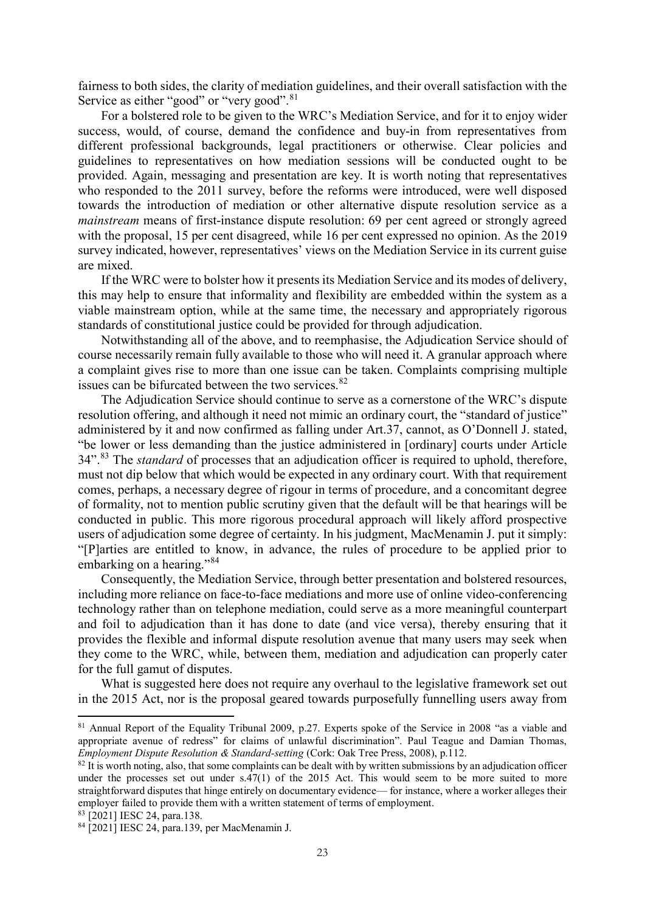fairness to both sides, the clarity of mediation guidelines, and their overall satisfaction with the Service as either "good" or "very good".<sup>[81](#page-23-0)</sup>

For a bolstered role to be given to the WRC's Mediation Service, and for it to enjoy wider success, would, of course, demand the confidence and buy-in from representatives from different professional backgrounds, legal practitioners or otherwise. Clear policies and guidelines to representatives on how mediation sessions will be conducted ought to be provided. Again, messaging and presentation are key. It is worth noting that representatives who responded to the 2011 survey, before the reforms were introduced, were well disposed towards the introduction of mediation or other alternative dispute resolution service as a *mainstream* means of first-instance dispute resolution: 69 per cent agreed or strongly agreed with the proposal, 15 per cent disagreed, while 16 per cent expressed no opinion. As the 2019 survey indicated, however, representatives' views on the Mediation Service in its current guise are mixed.

If the WRC were to bolster how it presents its Mediation Service and its modes of delivery, this may help to ensure that informality and flexibility are embedded within the system as a viable mainstream option, while at the same time, the necessary and appropriately rigorous standards of constitutional justice could be provided for through adjudication.

Notwithstanding all of the above, and to reemphasise, the Adjudication Service should of course necessarily remain fully available to those who will need it. A granular approach where a complaint gives rise to more than one issue can be taken. Complaints comprising multiple issues can be bifurcated between the two services.<sup>[82](#page-23-1)</sup>

The Adjudication Service should continue to serve as a cornerstone of the WRC's dispute resolution offering, and although it need not mimic an ordinary court, the "standard of justice" administered by it and now confirmed as falling under Art.37, cannot, as O'Donnell J. stated, "be lower or less demanding than the justice administered in [ordinary] courts under Article 34".<sup>[83](#page-23-2)</sup> The *standard* of processes that an adjudication officer is required to uphold, therefore, must not dip below that which would be expected in any ordinary court. With that requirement comes, perhaps, a necessary degree of rigour in terms of procedure, and a concomitant degree of formality, not to mention public scrutiny given that the default will be that hearings will be conducted in public. This more rigorous procedural approach will likely afford prospective users of adjudication some degree of certainty. In his judgment, MacMenamin J. put it simply: "[P]arties are entitled to know, in advance, the rules of procedure to be applied prior to embarking on a hearing."<sup>[84](#page-23-3)</sup>

Consequently, the Mediation Service, through better presentation and bolstered resources, including more reliance on face-to-face mediations and more use of online video-conferencing technology rather than on telephone mediation, could serve as a more meaningful counterpart and foil to adjudication than it has done to date (and vice versa), thereby ensuring that it provides the flexible and informal dispute resolution avenue that many users may seek when they come to the WRC, while, between them, mediation and adjudication can properly cater for the full gamut of disputes.

What is suggested here does not require any overhaul to the legislative framework set out in the 2015 Act, nor is the proposal geared towards purposefully funnelling users away from

<span id="page-23-0"></span><sup>&</sup>lt;sup>81</sup> Annual Report of the Equality Tribunal 2009, p.27. Experts spoke of the Service in 2008 "as a viable and appropriate avenue of redress" for claims of unlawful discrimination". Paul Teague and Damian Thomas, *Employment Dispute Resolution & Standard-setting* (Cork: Oak Tree Press, 2008), p.112.

<span id="page-23-1"></span> $82$  It is worth noting, also, that some complaints can be dealt with by written submissions by an adjudication officer under the processes set out under  $s.47(1)$  of the 2015 Act. This would seem to be more suited to more straightforward disputes that hinge entirely on documentary evidence— for instance, where a worker alleges their employer failed to provide them with a written statement of terms of employment.

<span id="page-23-2"></span><sup>83</sup> [2021] IESC 24, para.138.

<span id="page-23-3"></span><sup>84</sup> [2021] IESC 24, para.139, per MacMenamin J.